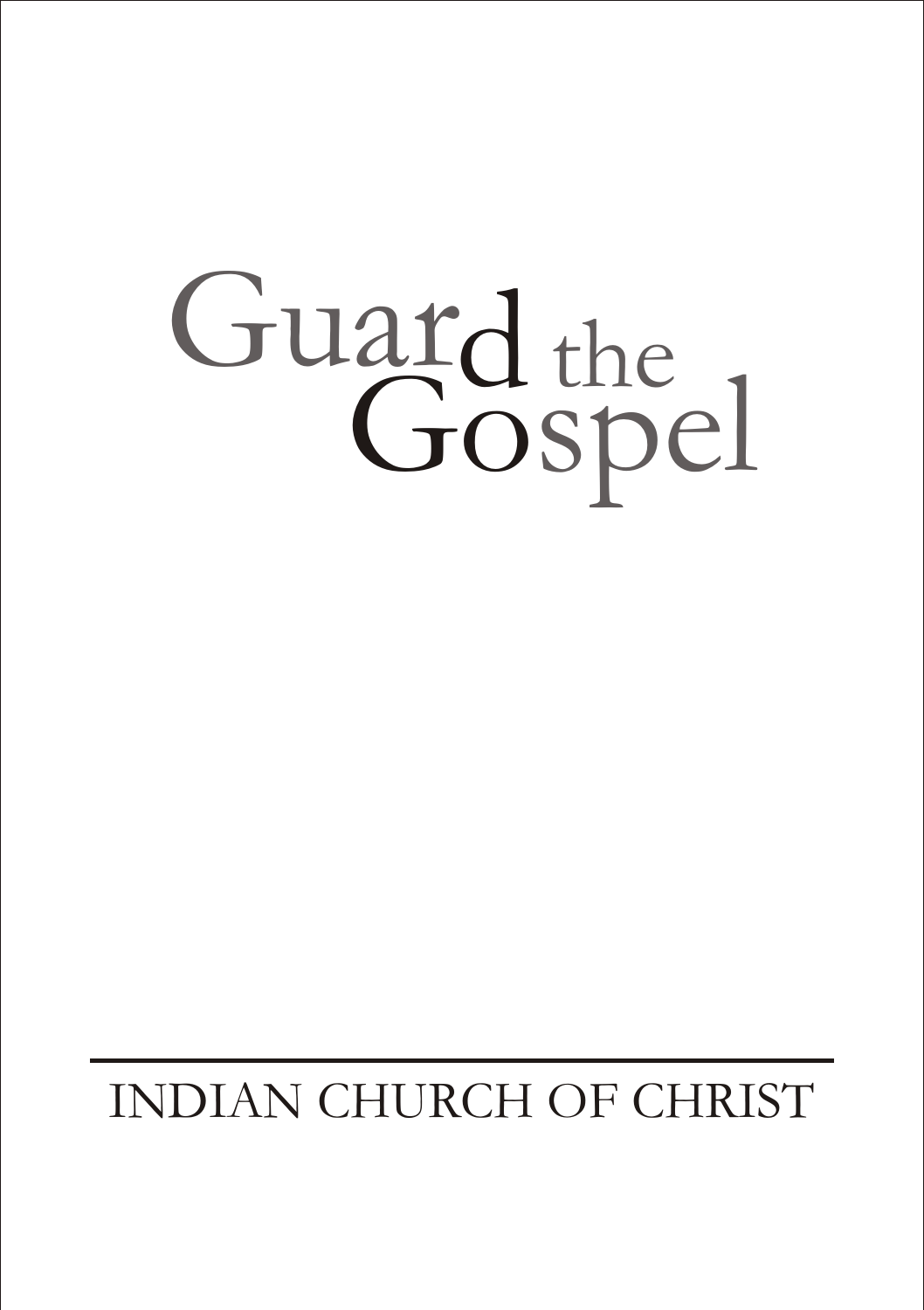# Guard the Gospel

# INDIAN CHURCH OF CHRIST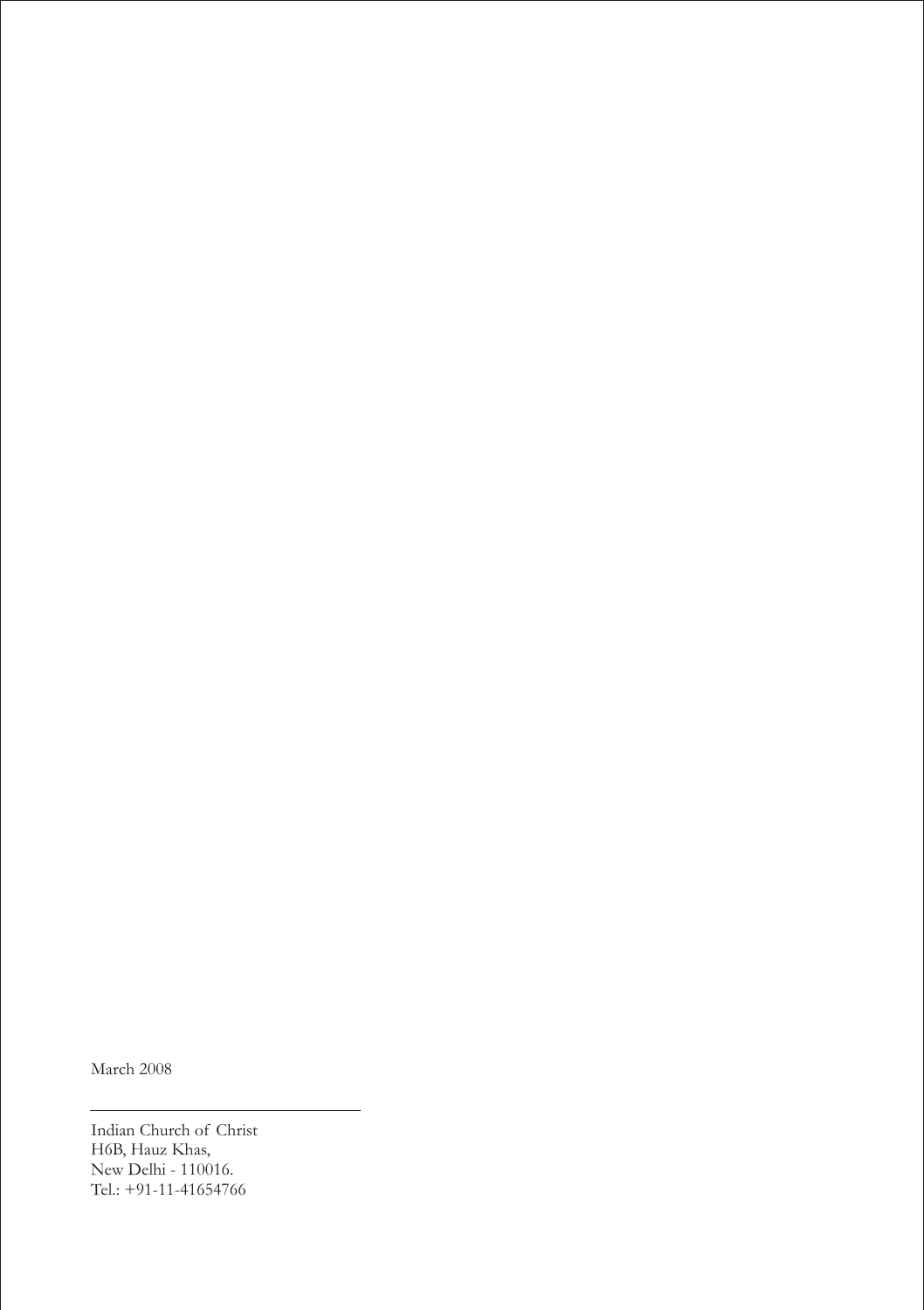March 2008

Indian Church of Christ H6B, Hauz Khas, New Delhi - 110016. Tel.: +91-11-41654766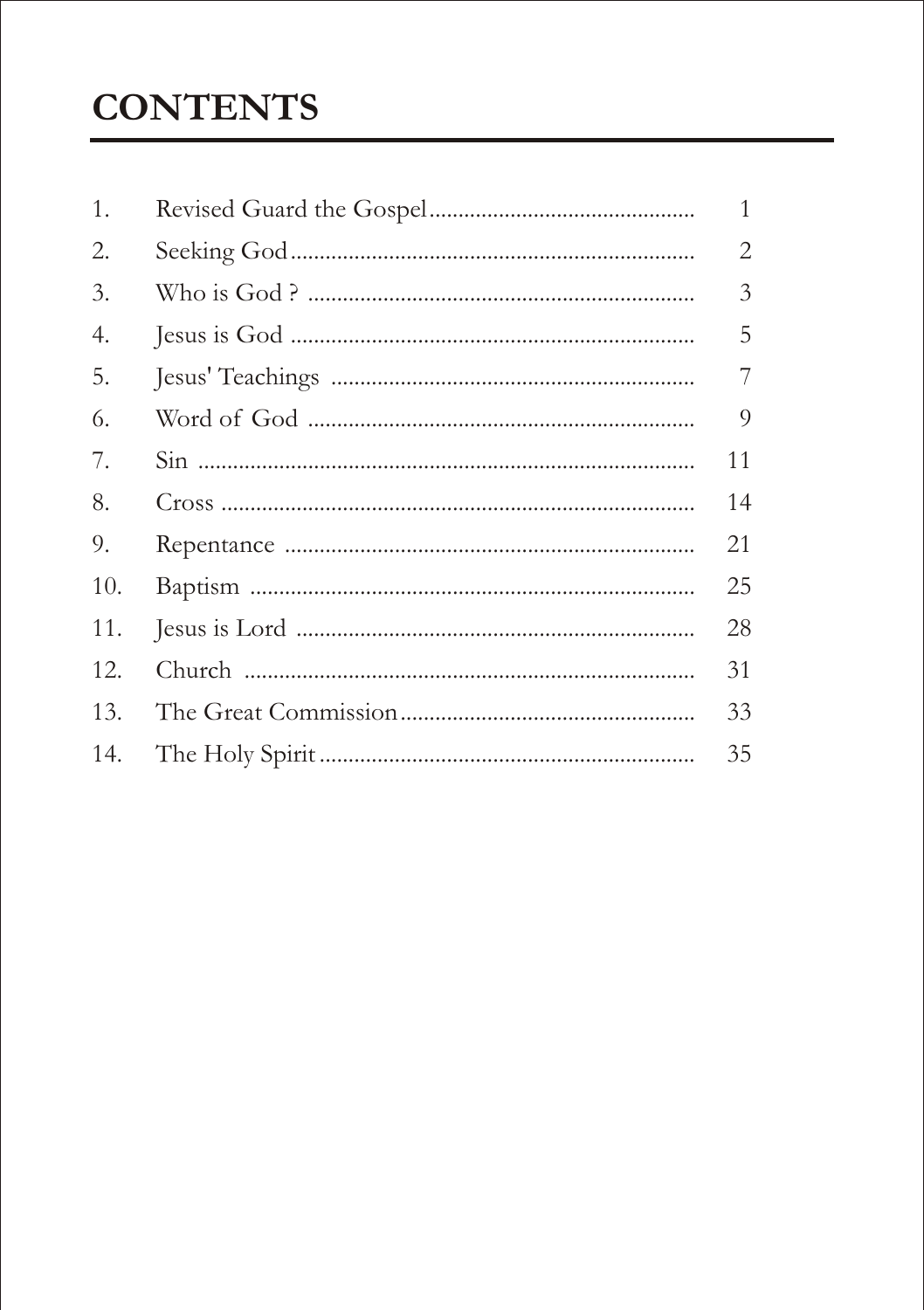## **CONTENTS**

| 1.  | $\mathbf{1}$ |
|-----|--------------|
| 2.  | 2            |
| 3.  | 3            |
| 4.  | 5            |
| 5.  | 7            |
| 6.  | 9            |
| 7.  | 11           |
| 8.  | 14           |
| 9.  | 21           |
| 10. | 25           |
| 11. | 28           |
| 12. | 31           |
| 13. | 33           |
| 14. | 35           |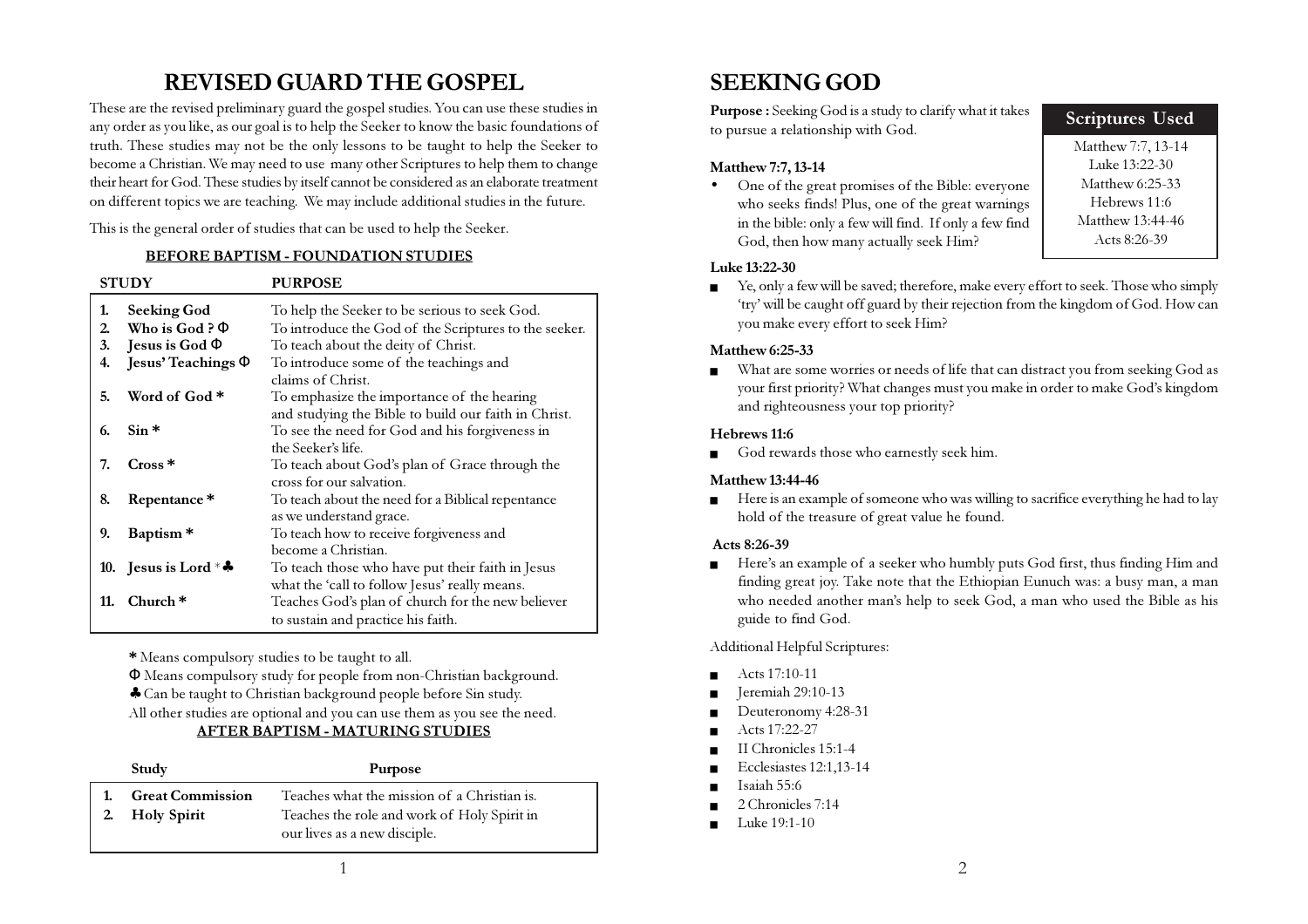## REVISED GUARD THE GOSPEL

These are the revised preliminary guard the gospel studies. You can use these studies in any order as you like, as our goal is to help the Seeker to know the basic foundations of truth. These studies may not be the only lessons to be taught to help the Seeker to become a Christian. We may need to use many other Scriptures to help them to change their heart for God. These studies by itself cannot be considered as an elaborate treatment on different topics we are teaching. We may include additional studies in the future.

This is the general order of studies that can be used to help the Seeker.

#### BEFORE BAPTISM - FOUNDATION STUDIES

| <b>STUDY</b> |                                   | <b>PURPOSE</b>                                                                                         |
|--------------|-----------------------------------|--------------------------------------------------------------------------------------------------------|
| 1.<br>2.     | Seeking God<br>Who is God? $\Phi$ | To help the Seeker to be serious to seek God.<br>To introduce the God of the Scriptures to the seeker. |
| 3.           | Jesus is God $\Phi$               | To teach about the deity of Christ.                                                                    |
| 4.           | Jesus' Teachings $\Phi$           | To introduce some of the teachings and                                                                 |
|              |                                   | claims of Christ.                                                                                      |
| 5.           | Word of God *                     | To emphasize the importance of the hearing                                                             |
|              |                                   | and studying the Bible to build our faith in Christ.                                                   |
| 6.           | $Sin*$                            | To see the need for God and his forgiveness in                                                         |
|              |                                   | the Seeker's life.                                                                                     |
| 7.           | $Cross*$                          | To teach about God's plan of Grace through the                                                         |
|              |                                   | cross for our salvation.                                                                               |
| 8.           | Repentance*                       | To teach about the need for a Biblical repentance                                                      |
|              |                                   | as we understand grace.                                                                                |
| 9.           | Baptism <sup>*</sup>              | To teach how to receive forgiveness and                                                                |
|              |                                   | become a Christian.                                                                                    |
|              | 10. Jesus is Lord $*$ .           | To teach those who have put their faith in Jesus                                                       |
|              |                                   | what the 'call to follow Jesus' really means.                                                          |
| 11.          | $Church*$                         | Teaches God's plan of church for the new believer                                                      |
|              |                                   | to sustain and practice his faith.                                                                     |

\* Means compulsory studies to be taught to all.

Φ Means compulsory study for people from non-Christian background.

♣ Can be taught to Christian background people before Sin study.

All other studies are optional and you can use them as you see the need.

#### AFTER BAPTISM - MATURING STUDIES

| Study                                     | <b>Purpose</b>                                                                                                             |
|-------------------------------------------|----------------------------------------------------------------------------------------------------------------------------|
| <b>Great Commission</b><br>2. Holy Spirit | Teaches what the mission of a Christian is.<br>Teaches the role and work of Holy Spirit in<br>our lives as a new disciple. |

## SEEKING GOD

Purpose : Seeking God is a study to clarify what it takes to pursue a relationship with God.

#### Matthew 7:7, 13-14

• One of the great promises of the Bible: everyone who seeks finds! Plus, one of the great warnings in the bible: only a few will find. If only a few find God, then how many actually seek Him?

#### Luke 13:22-30

■ Ye, only a few will be saved; therefore, make every effort to seek. Those who simply 'try' will be caught off guard by their rejection from the kingdom of God. How can you make every effort to seek Him?

#### Matthew 6:25-33

What are some worries or needs of life that can distract you from seeking God as your first priority? What changes must you make in order to make God's kingdom and righteousness your top priority?

#### Hebrews 11:6

■ God rewards those who earnestly seek him.

#### Matthew 13:44-46

■ Here is an example of someone who was willing to sacrifice everything he had to lay hold of the treasure of great value he found.

#### Acts 8:26-39

■ Here's an example of a seeker who humbly puts God first, thus finding Him and finding great joy. Take note that the Ethiopian Eunuch was: a busy man, a man who needed another man's help to seek God, a man who used the Bible as his guide to find God.

Additional Helpful Scriptures:

- Acts 17:10-11
- Jeremiah 29:10-13
- Deuteronomy 4:28-31
- Acts 17:22-27
- II Chronicles 15:1-4
- Ecclesiastes 12:1,13-14
- Isaiah 55:6
- 2 Chronicles 7:14
- Luke 19:1-10

Scriptures Used

Matthew 7:7, 13-14 Luke 13:22-30 Matthew 6:25-33 Hebrews 11:6 Matthew 13:44-46 Acts 8:26-39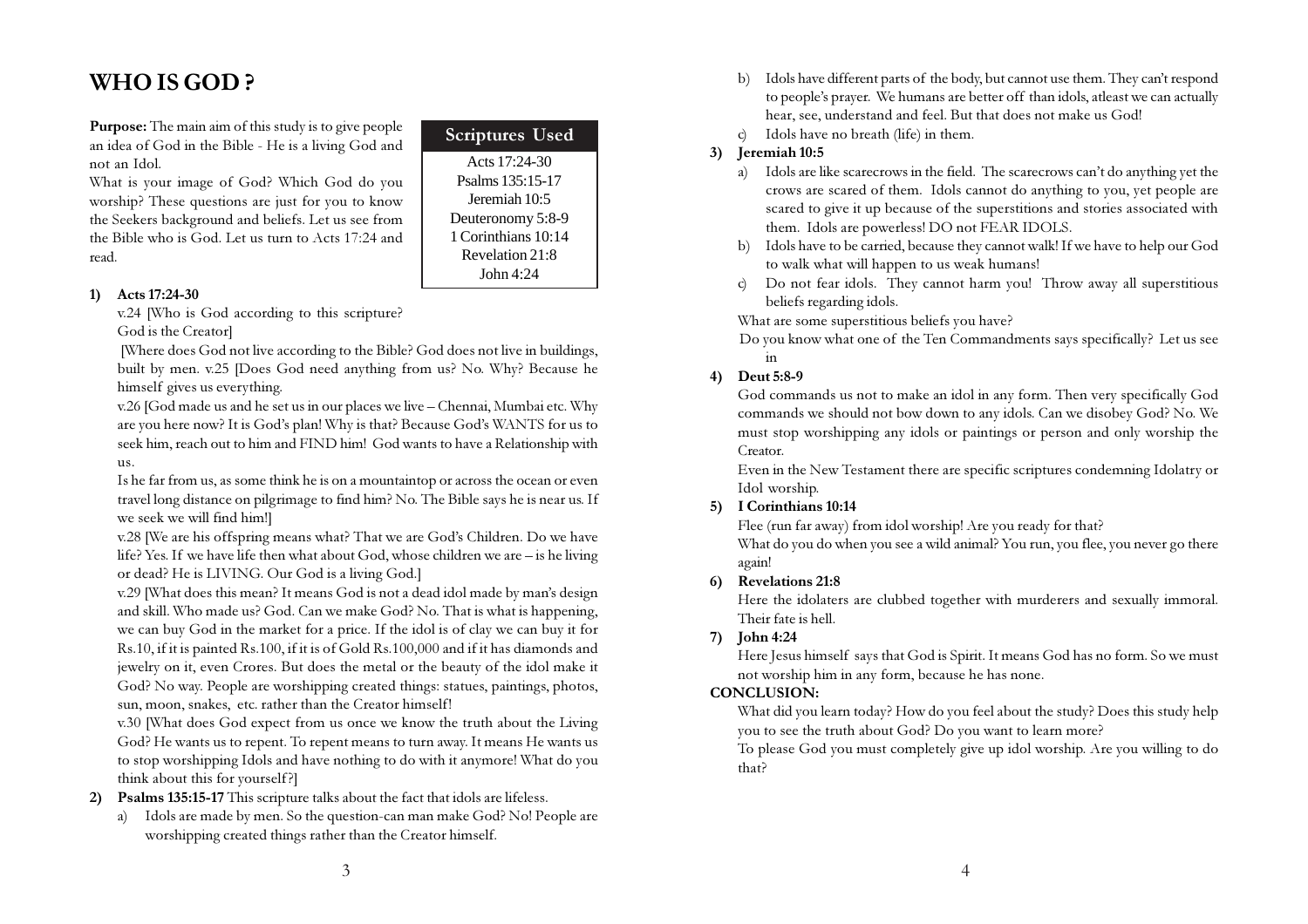## WHO IS GOD ?

Purpose: The main aim of this study is to give people an idea of God in the Bible - He is a living God and not an Idol.

What is your image of God? Which God do you worship? These questions are just for you to know the Seekers background and beliefs. Let us see from the Bible who is God. Let us turn to Acts 17:24 and read.

#### Acts 17:24-30 Psalms 135:15-17 Jeremiah 10:5 Deuteronomy 5:8-9 1 Corinthians 10:14 Revelation 21:8 John 4:24 Scriptures Used

#### 1) Acts 17:24-30

v.24 [Who is God according to this scripture? God is the Creator]

 [Where does God not live according to the Bible? God does not live in buildings, built by men. v.25 [Does God need anything from us? No. Why? Because he himself gives us everything.

v.26 [God made us and he set us in our places we live – Chennai, Mumbai etc. Why are you here now? It is God's plan! Why is that? Because God's WANTS for us to seek him, reach out to him and FIND him! God wants to have a Relationship with us.

Is he far from us, as some think he is on a mountaintop or across the ocean or even travel long distance on pilgrimage to find him? No. The Bible says he is near us. If we seek we will find him!]

v.28 [We are his offspring means what? That we are God's Children. Do we have life? Yes. If we have life then what about God, whose children we are – is he living or dead? He is LIVING. Our God is a living God.]

v.29 [What does this mean? It means God is not a dead idol made by man's design and skill. Who made us? God. Can we make God? No. That is what is happening, we can buy God in the market for a price. If the idol is of clay we can buy it for Rs.10, if it is painted Rs.100, if it is of Gold Rs.100,000 and if it has diamonds and jewelry on it, even Crores. But does the metal or the beauty of the idol make it God? No way. People are worshipping created things: statues, paintings, photos, sun, moon, snakes, etc. rather than the Creator himself!

v.30 [What does God expect from us once we know the truth about the Living God? He wants us to repent. To repent means to turn away. It means He wants us to stop worshipping Idols and have nothing to do with it anymore! What do you think about this for yourself?]

2) Psalms 135:15-17 This scripture talks about the fact that idols are lifeless.

a) Idols are made by men. So the question-can man make God? No! People are worshipping created things rather than the Creator himself.

- b) Idols have different parts of the body, but cannot use them. They can't respond to people's prayer. We humans are better off than idols, atleast we can actually hear, see, understand and feel. But that does not make us God!
- c) Idols have no breath (life) in them.

#### 3) Jeremiah 10:5

- a) Idols are like scarecrows in the field. The scarecrows can't do anything yet the crows are scared of them. Idols cannot do anything to you, yet people are scared to give it up because of the superstitions and stories associated with them. Idols are powerless! DO not FEAR IDOLS.
- b) Idols have to be carried, because they cannot walk! If we have to help our God to walk what will happen to us weak humans!
- c) Do not fear idols. They cannot harm you! Throw away all superstitious beliefs regarding idols.

What are some superstitious beliefs you have?

Do you know what one of the Ten Commandments says specifically? Let us see in

4) Deut 5:8-9

God commands us not to make an idol in any form. Then very specifically God commands we should not bow down to any idols. Can we disobey God? No. We must stop worshipping any idols or paintings or person and only worship the Creator.

Even in the New Testament there are specific scriptures condemning Idolatry or Idol worship.

#### 5) I Corinthians 10:14

Flee (run far away) from idol worship! Are you ready for that?

What do you do when you see a wild animal? You run, you flee, you never go there again!

#### 6) Revelations 21:8

Here the idolaters are clubbed together with murderers and sexually immoral. Their fate is hell.

#### 7) John 4:24

Here Jesus himself says that God is Spirit. It means God has no form. So we must not worship him in any form, because he has none.

#### CONCLUSION:

What did you learn today? How do you feel about the study? Does this study help you to see the truth about God? Do you want to learn more?

To please God you must completely give up idol worship. Are you willing to do that?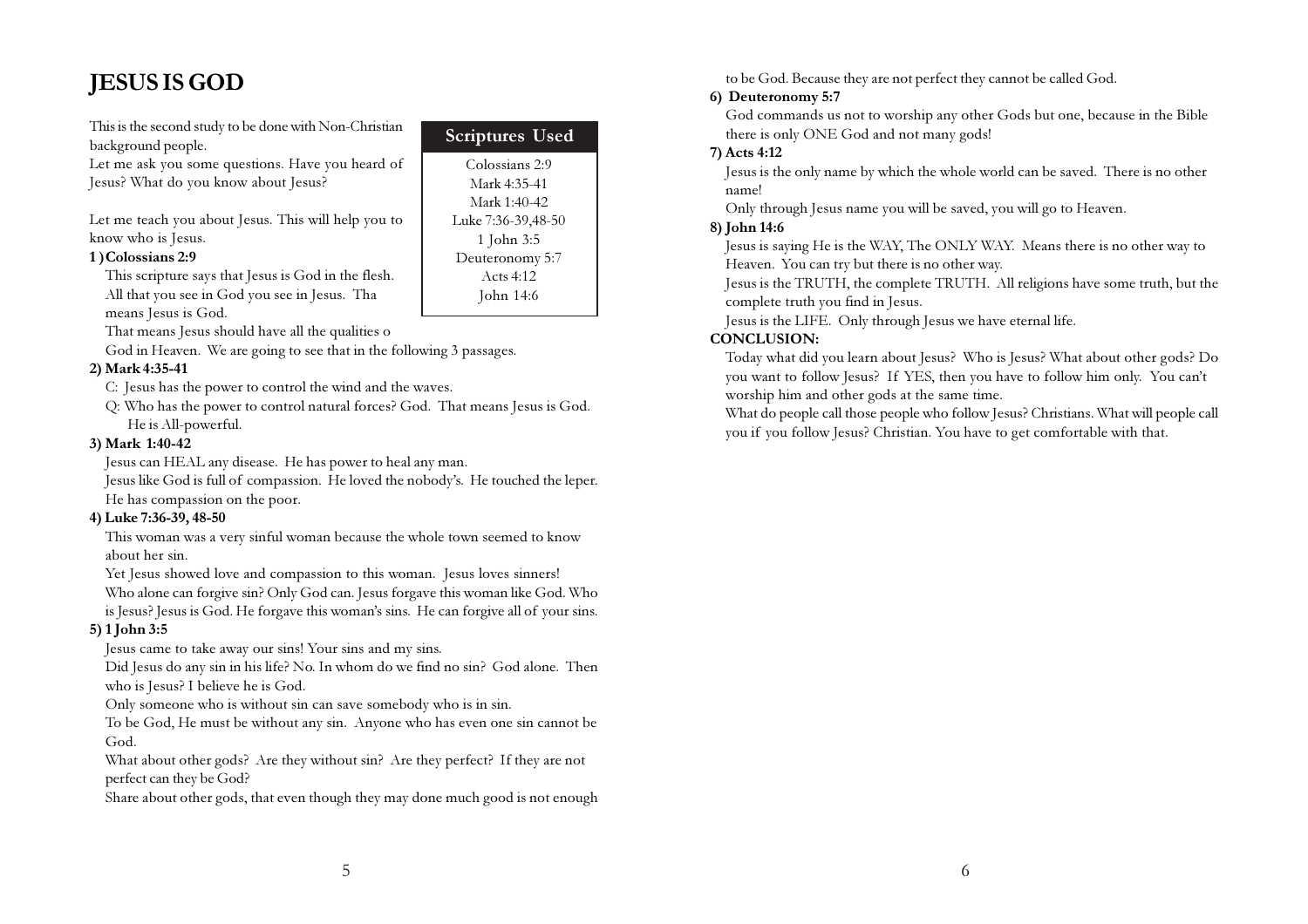## JESUS IS GOD

This is the second study to be done with Non-Christian background people.

Let me ask you some questions. Have you heard of Jesus? What do you know about Jesus?

Let me teach you about Jesus. This will help you to know who is Jesus.

#### 1 )Colossians 2:9

This scripture says that Jesus is God in the flesh. All that you see in God you see in Jesus. Tha means Jesus is God.

That means Jesus should have all the qualities o

God in Heaven. We are going to see that in the following 3 passages.

#### 2) Mark 4:35-41

C: Jesus has the power to control the wind and the waves.

Q: Who has the power to control natural forces? God. That means Jesus is God. He is All-powerful.

Scriptures Used Colossians 2:9 Mark 4:35-41 Mark 1:40-42 Luke 7:36-39,48-50 1 John 3:5 Deuteronomy 5:7 Acts 4:12 John 14:6

#### 3) Mark 1:40-42

Jesus can HEAL any disease. He has power to heal any man.

Jesus like God is full of compassion. He loved the nobody's. He touched the leper. He has compassion on the poor.

#### 4) Luke 7:36-39, 48-50

This woman was a very sinful woman because the whole town seemed to know about her sin.

Yet Jesus showed love and compassion to this woman. Jesus loves sinners! Who alone can forgive sin? Only God can. Jesus forgave this woman like God. Who is Jesus? Jesus is God. He forgave this woman's sins. He can forgive all of your sins.

#### 5) 1 John 3:5

Jesus came to take away our sins! Your sins and my sins.

Did Jesus do any sin in his life? No. In whom do we find no sin? God alone. Then who is Jesus? I believe he is God.

Only someone who is without sin can save somebody who is in sin.

To be God, He must be without any sin. Anyone who has even one sin cannot be God.

What about other gods? Are they without sin? Are they perfect? If they are not perfect can they be God?

Share about other gods, that even though they may done much good is not enough

to be God. Because they are not perfect they cannot be called God.

#### 6) Deuteronomy 5:7

God commands us not to worship any other Gods but one, because in the Bible there is only ONE God and not many gods!

#### 7) Acts 4:12

Jesus is the only name by which the whole world can be saved. There is no other name!

Only through Jesus name you will be saved, you will go to Heaven.

#### 8) John 14:6

Jesus is saying He is the WAY, The ONLY WAY. Means there is no other way to Heaven. You can try but there is no other way.

Jesus is the TRUTH, the complete TRUTH. All religions have some truth, but the complete truth you find in Jesus.

Jesus is the LIFE. Only through Jesus we have eternal life.

#### CONCLUSION:

Today what did you learn about Jesus? Who is Jesus? What about other gods? Do you want to follow Jesus? If YES, then you have to follow him only. You can't worship him and other gods at the same time.

What do people call those people who follow Jesus? Christians. What will people call you if you follow Jesus? Christian. You have to get comfortable with that.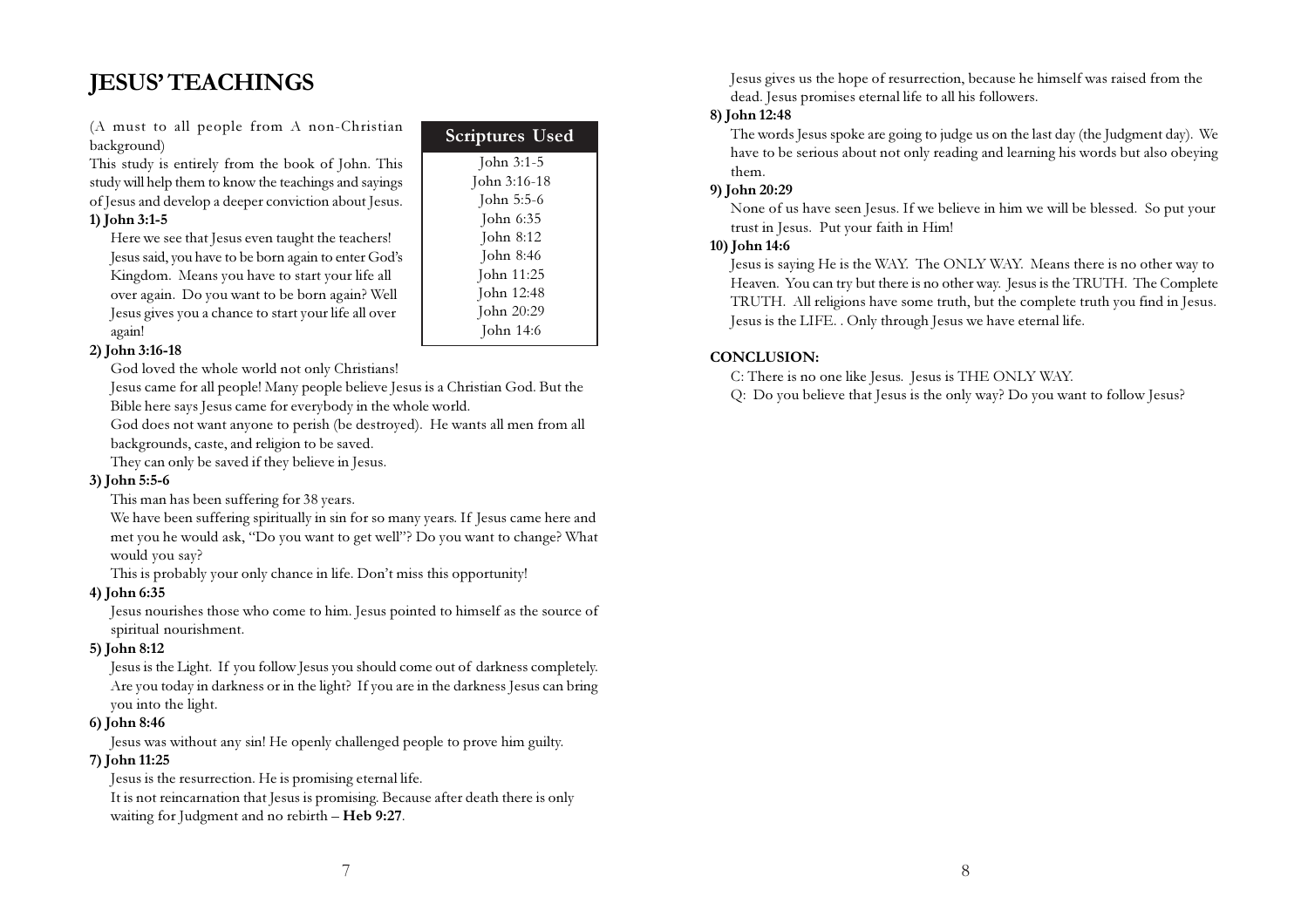## JESUS' TEACHINGS

(A must to all people from A non-Christian background)

This study is entirely from the book of John. This study will help them to know the teachings and sayings of Jesus and develop a deeper conviction about Jesus.

#### 1) John 3:1-5

Here we see that Jesus even taught the teachers! Jesus said, you have to be born again to enter God's Kingdom. Means you have to start your life all over again. Do you want to be born again? Well Jesus gives you a chance to start your life all over again!

#### 2) John 3:16-18

God loved the whole world not only Christians!

Jesus came for all people! Many people believe Jesus is a Christian God. But the Bible here says Jesus came for everybody in the whole world.

John 3:1-5 John 3:16-18 John 5:5-6 John 6:35 John 8:12 John 8:46 John 11:25 John 12:48 John 20:29 John 14:6

Scriptures Used

God does not want anyone to perish (be destroyed). He wants all men from all backgrounds, caste, and religion to be saved.

They can only be saved if they believe in Jesus.

#### 3) John 5:5-6

This man has been suffering for 38 years.

We have been suffering spiritually in sin for so many years. If Jesus came here and met you he would ask, "Do you want to get well"? Do you want to change? What would you say?

This is probably your only chance in life. Don't miss this opportunity!

#### 4) John 6:35

Jesus nourishes those who come to him. Jesus pointed to himself as the source of spiritual nourishment.

#### 5) John 8:12

Jesus is the Light. If you follow Jesus you should come out of darkness completely. Are you today in darkness or in the light? If you are in the darkness Jesus can bring you into the light.

#### 6) John 8:46

Jesus was without any sin! He openly challenged people to prove him guilty.

#### 7) John 11:25

Jesus is the resurrection. He is promising eternal life.

It is not reincarnation that Jesus is promising. Because after death there is only waiting for Judgment and no rebirth – Heb 9:27.

Jesus gives us the hope of resurrection, because he himself was raised from the dead. Jesus promises eternal life to all his followers.

#### 8) John 12:48

The words Jesus spoke are going to judge us on the last day (the Judgment day). We have to be serious about not only reading and learning his words but also obeying them.

#### 9) John 20:29

None of us have seen Jesus. If we believe in him we will be blessed. So put your trust in Jesus. Put your faith in Him!

#### 10) John 14:6

Jesus is saying He is the WAY. The ONLY WAY. Means there is no other way to Heaven. You can try but there is no other way. Jesus is the TRUTH. The Complete TRUTH. All religions have some truth, but the complete truth you find in Jesus. Jesus is the LIFE. . Only through Jesus we have eternal life.

#### CONCLUSION:

C: There is no one like Jesus. Jesus is THE ONLY WAY.

Q: Do you believe that Jesus is the only way? Do you want to follow Jesus?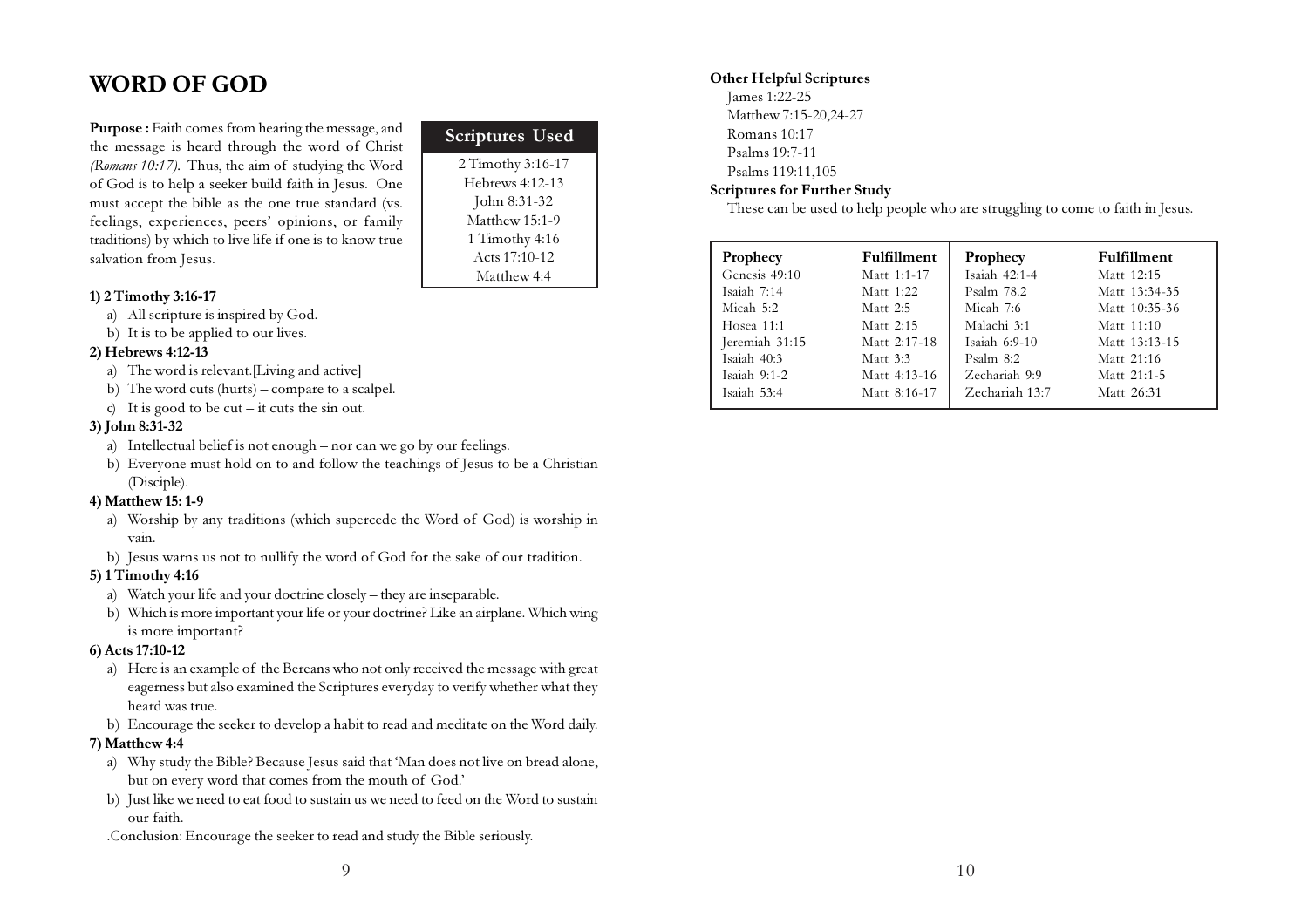## WORD OF GOD

Purpose : Faith comes from hearing the message, and the message is heard through the word of Christ (Romans 10:17). Thus, the aim of studying the Word of God is to help a seeker build faith in Jesus. One must accept the bible as the one true standard (vs. feelings, experiences, peers' opinions, or family traditions) by which to live life if one is to know true salvation from Jesus.

#### 1) 2 Timothy 3:16-17

- a) All scripture is inspired by God.
- b) It is to be applied to our lives.

#### 2) Hebrews 4:12-13

- a) The word is relevant.[Living and active]
- b) The word cuts (hurts) compare to a scalpel.
- c) It is good to be  $cut it$  cuts the sin out.

#### 3) John 8:31-32

- a) Intellectual belief is not enough nor can we go by our feelings.
- b) Everyone must hold on to and follow the teachings of Jesus to be a Christian (Disciple).

#### 4) Matthew 15: 1-9

- a) Worship by any traditions (which supercede the Word of God) is worship in vain.
- b) Jesus warns us not to nullify the word of God for the sake of our tradition.

#### 5) 1 Timothy 4:16

- a) Watch your life and your doctrine closely they are inseparable.
- b) Which is more important your life or your doctrine? Like an airplane. Which wing is more important?

#### 6) Acts 17:10-12

- a) Here is an example of the Bereans who not only received the message with great eagerness but also examined the Scriptures everyday to verify whether what they heard was true.
- b) Encourage the seeker to develop a habit to read and meditate on the Word daily.

#### 7) Matthew 4:4

- a) Why study the Bible? Because Jesus said that 'Man does not live on bread alone, but on every word that comes from the mouth of God.'
- b) Just like we need to eat food to sustain us we need to feed on the Word to sustain our faith.
- .Conclusion: Encourage the seeker to read and study the Bible seriously.

| <b>Scriptures Used</b> |  |
|------------------------|--|
| 2 Timothy 3:16-17      |  |
| Hebrews 4:12-13        |  |
| John 8:31-32           |  |
| Matthew 15:1-9         |  |
| 1 Timothy 4:16         |  |
| Acts 17:10-12          |  |
| Matthew 4:4            |  |

#### Other Helpful Scriptures

James 1:22-25 Matthew 7:15-20,24-27 Romans 10:17 Psalms 19:7-11 Psalms 119:11,105

#### Scriptures for Further Study

These can be used to help people who are struggling to come to faith in Jesus.

| Prophecy       | Fulfillment  | Prophecy        | <b>Fulfillment</b> |
|----------------|--------------|-----------------|--------------------|
| Genesis 49:10  | Matt 1:1-17  | Isaiah 42:1-4   | Matt 12:15         |
| Isaiah 7:14    | Matt 1:22    | Psalm 78.2      | Matt 13:34-35      |
| Micah 5:2      | Matt $2:5$   | Micah 7:6       | Matt 10:35-36      |
| Hosea $11:1$   | Matt 2:15    | Malachi 3:1     | Matt 11:10         |
| Jeremiah 31:15 | Matt 2:17-18 | Isaiah $6:9-10$ | Matt 13:13-15      |
| Isaiah 40:3    | Matt 3:3     | Psalm $8:2$     | Matt 21:16         |
| Isaiah $9:1-2$ | Matt 4:13-16 | Zechariah 9:9   | Matt 21:1-5        |
| Isaiah 53:4    | Matt 8:16-17 | Zechariah 13:7  | Matt 26:31         |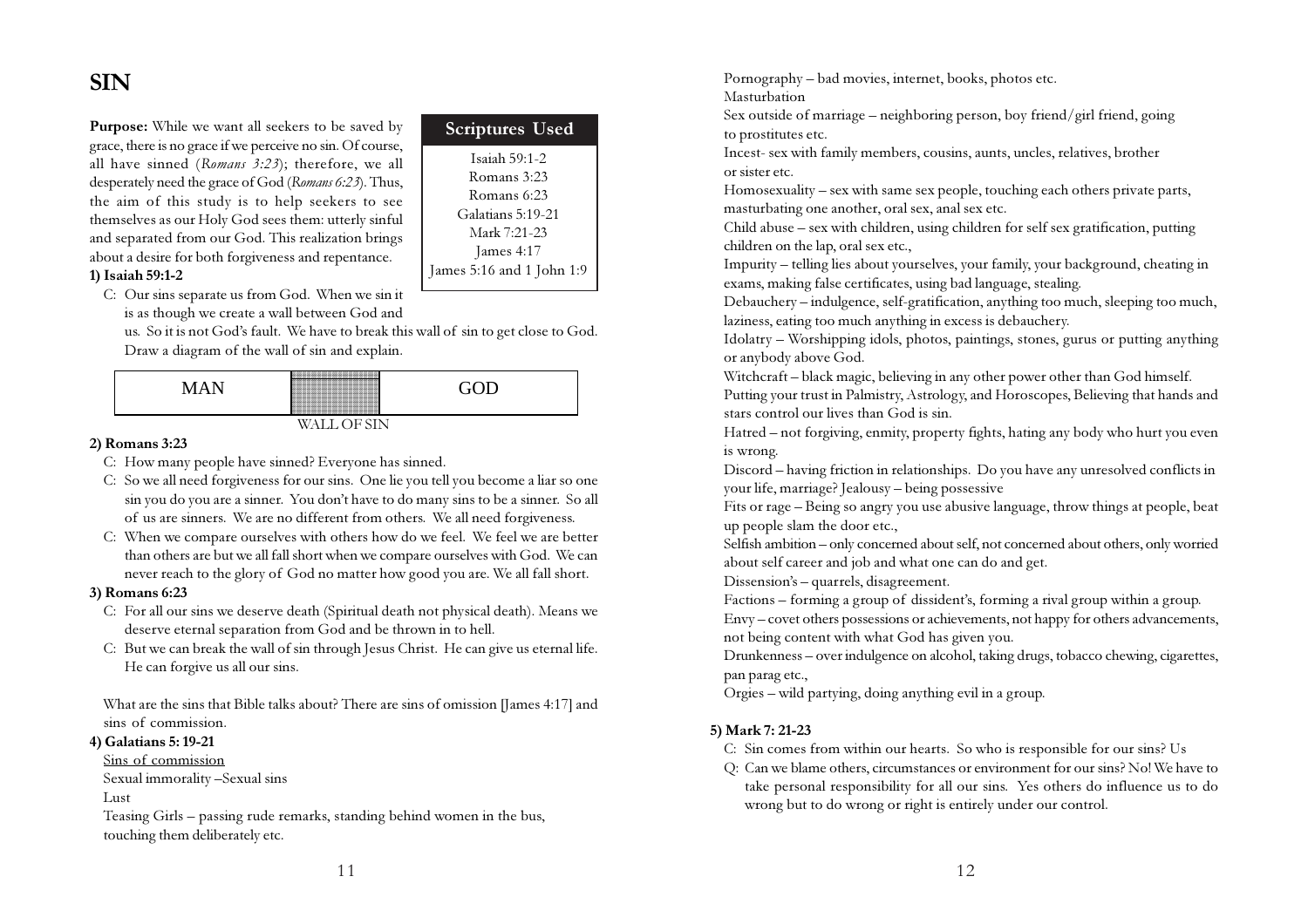## SIN

Purpose: While we want all seekers to be saved by grace, there is no grace if we perceive no sin. Of course, all have sinned (Romans 3:23); therefore, we all desperately need the grace of God (Romans 6:23). Thus, the aim of this study is to help seekers to see themselves as our Holy God sees them: utterly sinful and separated from our God. This realization brings about a desire for both forgiveness and repentance. 1) Isaiah 59:1-2

| <b>Scriptures Used</b>    |
|---------------------------|
| Isaiah $59:1-2$           |
| Romans 3:23               |
| Romans $6:23$             |
| Galatians 5:19-21         |
| Mark 7:21-23              |
| James 4:17                |
| James 5:16 and 1 John 1:9 |

C: Our sins separate us from God. When we sin it is as though we create a wall between God and

us. So it is not God's fault. We have to break this wall of sin to get close to God. Draw a diagram of the wall of sin and explain.



#### 2) Romans 3:23

- C: How many people have sinned? Everyone has sinned.
- C: So we all need forgiveness for our sins. One lie you tell you become a liar so one sin you do you are a sinner. You don't have to do many sins to be a sinner. So all of us are sinners. We are no different from others. We all need forgiveness.
- C: When we compare ourselves with others how do we feel. We feel we are better than others are but we all fall short when we compare ourselves with God. We can never reach to the glory of God no matter how good you are. We all fall short.

#### 3) Romans 6:23

- C: For all our sins we deserve death (Spiritual death not physical death). Means we deserve eternal separation from God and be thrown in to hell.
- C: But we can break the wall of sin through Jesus Christ. He can give us eternal life. He can forgive us all our sins.

What are the sins that Bible talks about? There are sins of omission [James 4:17] and sins of commission.

#### 4) Galatians 5: 19-21

#### Sins of commission

Sexual immorality –Sexual sins

#### Lust

Teasing Girls – passing rude remarks, standing behind women in the bus, touching them deliberately etc.

Pornography – bad movies, internet, books, photos etc. Masturbation

Sex outside of marriage – neighboring person, boy friend/girl friend, going to prostitutes etc.

Incest- sex with family members, cousins, aunts, uncles, relatives, brother or sister etc.

Homosexuality – sex with same sex people, touching each others private parts, masturbating one another, oral sex, anal sex etc.

Child abuse – sex with children, using children for self sex gratification, putting children on the lap, oral sex etc.,

Impurity – telling lies about yourselves, your family, your background, cheating in exams, making false certificates, using bad language, stealing.

Debauchery – indulgence, self-gratification, anything too much, sleeping too much, laziness, eating too much anything in excess is debauchery.

Idolatry – Worshipping idols, photos, paintings, stones, gurus or putting anything or anybody above God.

Witchcraft – black magic, believing in any other power other than God himself.

Putting your trust in Palmistry, Astrology, and Horoscopes, Believing that hands and stars control our lives than God is sin.

Hatred – not forgiving, enmity, property fights, hating any body who hurt you even is wrong.

Discord – having friction in relationships. Do you have any unresolved conflicts in your life, marriage? Jealousy – being possessive

Fits or rage – Being so angry you use abusive language, throw things at people, beat up people slam the door etc.,

Selfish ambition – only concerned about self, not concerned about others, only worried about self career and job and what one can do and get.

Dissension's – quarrels, disagreement.

Factions – forming a group of dissident's, forming a rival group within a group.

Envy – covet others possessions or achievements, not happy for others advancements, not being content with what God has given you.

Drunkenness – over indulgence on alcohol, taking drugs, tobacco chewing, cigarettes, pan parag etc.,

Orgies – wild partying, doing anything evil in a group.

#### 5) Mark 7: 21-23

- C: Sin comes from within our hearts. So who is responsible for our sins? Us
- Q: Can we blame others, circumstances or environment for our sins? No! We have to take personal responsibility for all our sins. Yes others do influence us to do wrong but to do wrong or right is entirely under our control.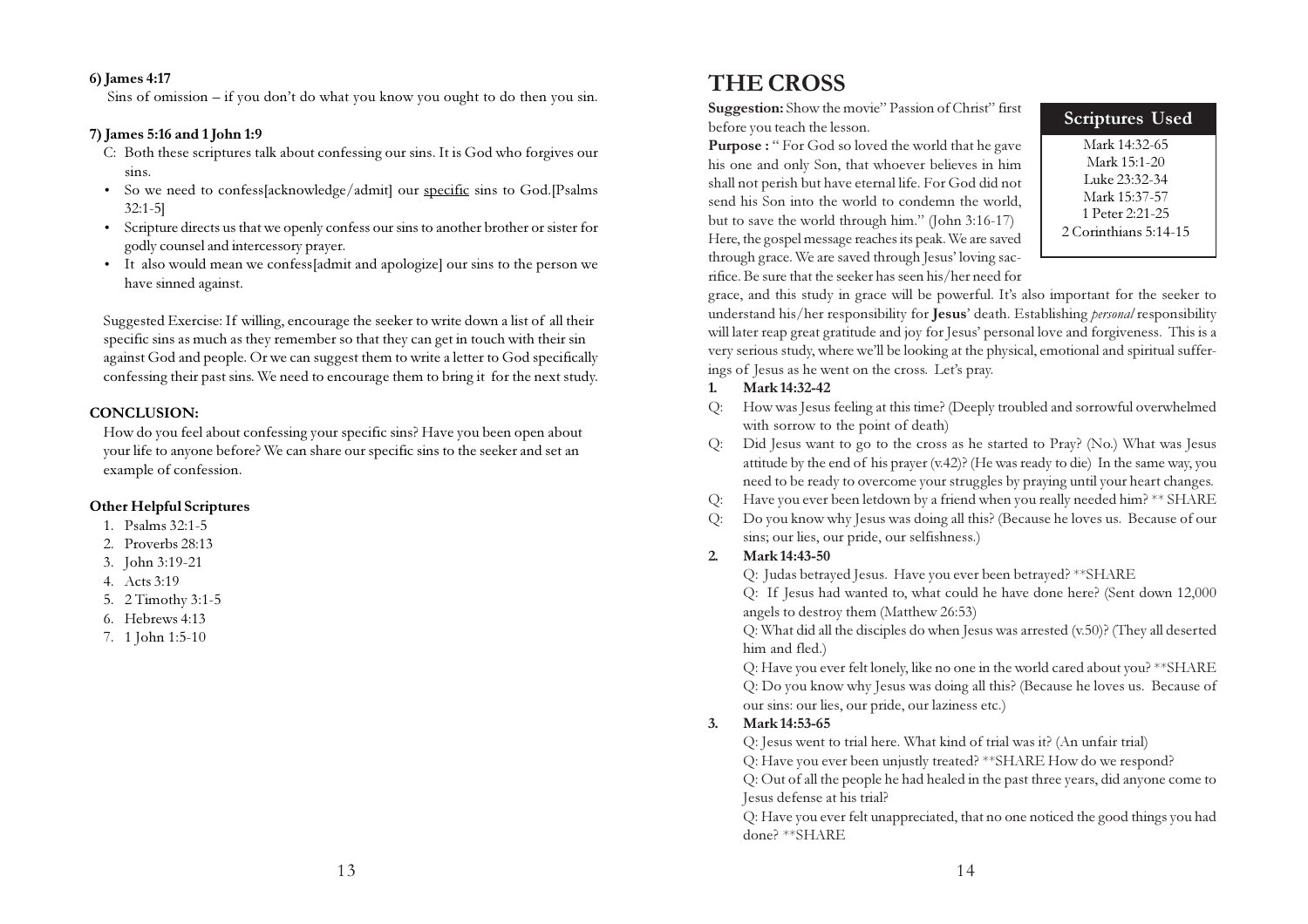#### 6) James 4:17

Sins of omission – if you don't do what you know you ought to do then you sin.

#### 7) James 5:16 and 1 John 1:9

- C: Both these scriptures talk about confessing our sins. It is God who forgives our sins.
- So we need to confess[acknowledge/admit] our specific sins to God.[Psalms 32:1-5]
- Scripture directs us that we openly confess our sins to another brother or sister for godly counsel and intercessory prayer.
- It also would mean we confess[admit and apologize] our sins to the person we have sinned against.

Suggested Exercise: If willing, encourage the seeker to write down a list of all their specific sins as much as they remember so that they can get in touch with their sin against God and people. Or we can suggest them to write a letter to God specifically confessing their past sins. We need to encourage them to bring it for the next study.

#### CONCLUSION:

How do you feel about confessing your specific sins? Have you been open about your life to anyone before? We can share our specific sins to the seeker and set an example of confession.

#### Other Helpful Scriptures

- 1. Psalms 32:1-5
- 2. Proverbs 28:13
- 3. John 3:19-21
- 4. Acts 3:19
- 5. 2 Timothy 3:1-5
- 6. Hebrews 4:13
- 7. 1 John 1:5-10

## THE CROSS

Suggestion: Show the movie" Passion of Christ" first before you teach the lesson.

Purpose : " For God so loved the world that he gave his one and only Son, that whoever believes in him shall not perish but have eternal life. For God did not send his Son into the world to condemn the world, but to save the world through him." (John 3:16-17) Here, the gospel message reaches its peak. We are saved through grace. We are saved through Jesus' loving sacrifice. Be sure that the seeker has seen his/her need for

| <b>Scriptures Used</b> |
|------------------------|
| Mark 14:32-65          |
| Mark 15:1-20           |
| Luke 23:32-34          |
| Mark 15:37-57          |
| 1 Peter 2:21-25        |
| 2 Corinthians 5:14-15  |
|                        |

grace, and this study in grace will be powerful. It's also important for the seeker to understand his/her responsibility for Jesus' death. Establishing *personal* responsibility will later reap great gratitude and joy for Jesus' personal love and forgiveness. This is a very serious study, where we'll be looking at the physical, emotional and spiritual sufferings of Jesus as he went on the cross. Let's pray.

#### 1. Mark 14:32-42

- Q: How was Jesus feeling at this time? (Deeply troubled and sorrowful overwhelmed with sorrow to the point of death)
- Q: Did Jesus want to go to the cross as he started to Pray? (No.) What was Jesus attitude by the end of his prayer (v.42)? (He was ready to die) In the same way, you need to be ready to overcome your struggles by praying until your heart changes.
- Q: Have you ever been letdown by a friend when you really needed him? \*\* SHARE
- Q: Do you know why Jesus was doing all this? (Because he loves us. Because of our sins; our lies, our pride, our selfishness.)

#### 2. Mark 14:43-50

Q: Judas betrayed Jesus. Have you ever been betrayed? \*\*SHARE

Q: If Jesus had wanted to, what could he have done here? (Sent down 12,000 angels to destroy them (Matthew 26:53)

Q: What did all the disciples do when Jesus was arrested (v.50)? (They all deserted him and fled.)

Q: Have you ever felt lonely, like no one in the world cared about you? \*\*SHARE Q: Do you know why Jesus was doing all this? (Because he loves us. Because of our sins: our lies, our pride, our laziness etc.)

#### 3. Mark 14:53-65

Q: Jesus went to trial here. What kind of trial was it? (An unfair trial)

Q: Have you ever been unjustly treated? \*\*SHARE How do we respond?

Q: Out of all the people he had healed in the past three years, did anyone come to Jesus defense at his trial?

Q: Have you ever felt unappreciated, that no one noticed the good things you had done? \*\*SHARE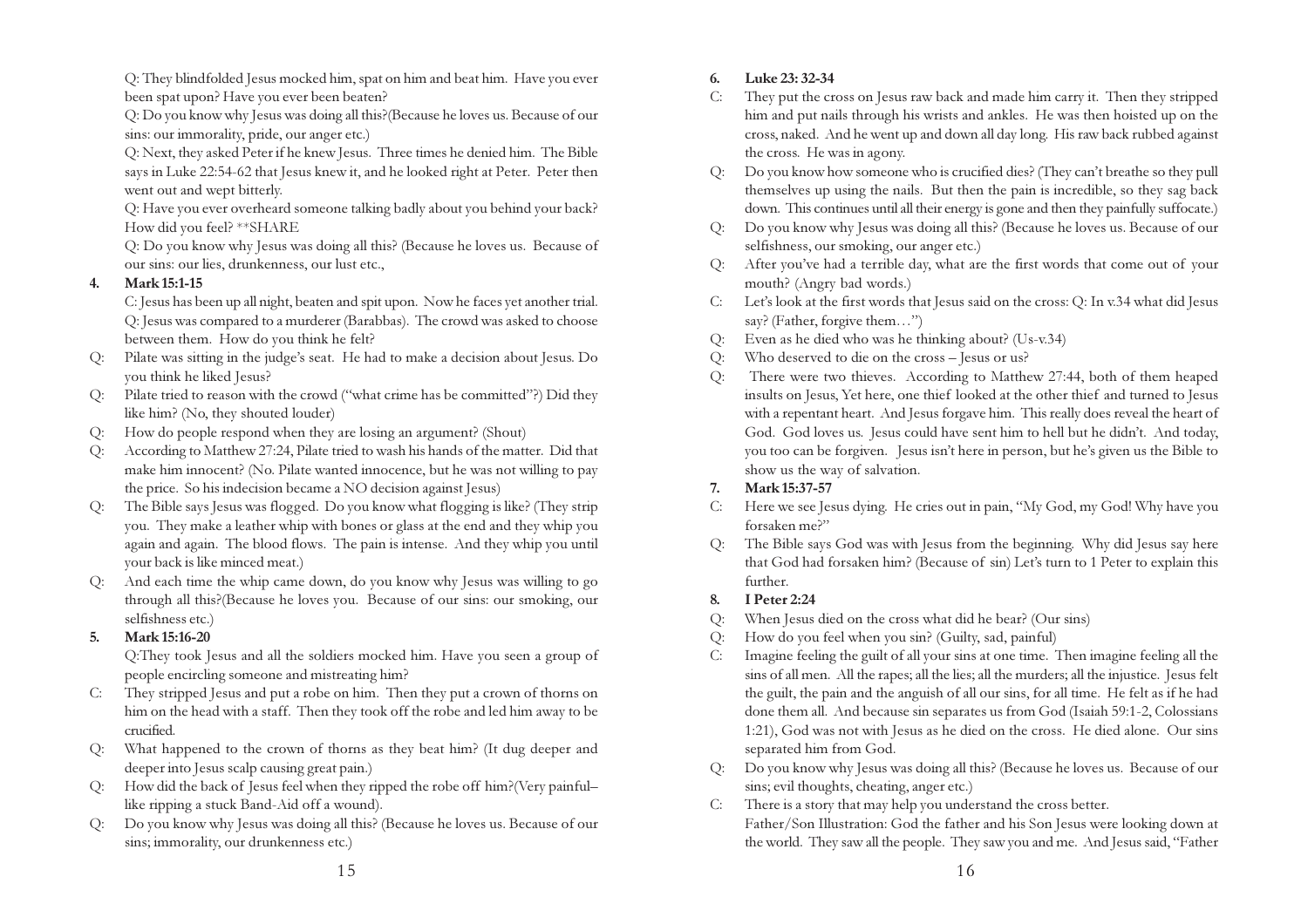Q: They blindfolded Jesus mocked him, spat on him and beat him. Have you ever been spat upon? Have you ever been beaten?

Q: Do you know why Jesus was doing all this?(Because he loves us. Because of our sins: our immorality, pride, our anger etc.)

Q: Next, they asked Peter if he knew Jesus. Three times he denied him. The Bible says in Luke 22:54-62 that Jesus knew it, and he looked right at Peter. Peter then went out and wept bitterly.

Q: Have you ever overheard someone talking badly about you behind your back? How did you feel? \*\*SHARE

Q: Do you know why Jesus was doing all this? (Because he loves us. Because of our sins: our lies, drunkenness, our lust etc.,

#### 4. Mark 15:1-15

C: Jesus has been up all night, beaten and spit upon. Now he faces yet another trial. Q: Jesus was compared to a murderer (Barabbas). The crowd was asked to choose between them. How do you think he felt?

- Q: Pilate was sitting in the judge's seat. He had to make a decision about Jesus. Do you think he liked Jesus?
- Q: Pilate tried to reason with the crowd ("what crime has be committed"?) Did they like him? (No, they shouted louder)
- Q: How do people respond when they are losing an argument? (Shout)
- Q: According to Matthew 27:24, Pilate tried to wash his hands of the matter. Did that make him innocent? (No. Pilate wanted innocence, but he was not willing to pay the price. So his indecision became a NO decision against Jesus)
- The Bible says Jesus was flogged. Do you know what flogging is like? (They strip you. They make a leather whip with bones or glass at the end and they whip you again and again. The blood flows. The pain is intense. And they whip you until your back is like minced meat.)
- And each time the whip came down, do you know why Jesus was willing to go through all this?(Because he loves you. Because of our sins: our smoking, our selfishness etc.)

#### 5. Mark 15:16-20

Q:They took Jesus and all the soldiers mocked him. Have you seen a group of people encircling someone and mistreating him?

- C: They stripped Jesus and put a robe on him. Then they put a crown of thorns on him on the head with a staff. Then they took off the robe and led him away to be crucified.
- Q: What happened to the crown of thorns as they beat him? (It dug deeper and deeper into Jesus scalp causing great pain.)
- Q: How did the back of Jesus feel when they ripped the robe off him?(Very painful– like ripping a stuck Band-Aid off a wound).
- Q: Do you know why Jesus was doing all this? (Because he loves us. Because of our sins; immorality, our drunkenness etc.)

#### 6. Luke 23: 32-34

- C: They put the cross on Jesus raw back and made him carry it. Then they stripped him and put nails through his wrists and ankles. He was then hoisted up on the cross, naked. And he went up and down all day long. His raw back rubbed against the cross. He was in agony.
- Q: Do you know how someone who is crucified dies? (They can't breathe so they pull themselves up using the nails. But then the pain is incredible, so they sag back down. This continues until all their energy is gone and then they painfully suffocate.)
- Q: Do you know why Jesus was doing all this? (Because he loves us. Because of our selfishness, our smoking, our anger etc.)
- Q: After you've had a terrible day, what are the first words that come out of your mouth? (Angry bad words.)
- C: Let's look at the first words that Jesus said on the cross: Q: In v.34 what did Jesus say? (Father, forgive them...")
- Q: Even as he died who was he thinking about? (Us-v.34)
- Q: Who deserved to die on the cross Jesus or us?
- Q: There were two thieves. According to Matthew 27:44, both of them heaped insults on Jesus, Yet here, one thief looked at the other thief and turned to Jesus with a repentant heart. And Jesus forgave him. This really does reveal the heart of God. God loves us. Jesus could have sent him to hell but he didn't. And today, you too can be forgiven. Jesus isn't here in person, but he's given us the Bible to show us the way of salvation.

#### 7. Mark 15:37-57

- C: Here we see Jesus dying. He cries out in pain, "My God, my God! Why have you forsaken me?"
- The Bible says God was with Jesus from the beginning. Why did Jesus say here that God had forsaken him? (Because of sin) Let's turn to 1 Peter to explain this further.

#### 8. I Peter 2:24

- Q: When Jesus died on the cross what did he bear? (Our sins)
- Q: How do you feel when you sin? (Guilty, sad, painful)
- C: Imagine feeling the guilt of all your sins at one time. Then imagine feeling all the sins of all men. All the rapes; all the lies; all the murders; all the injustice. Jesus felt the guilt, the pain and the anguish of all our sins, for all time. He felt as if he had done them all. And because sin separates us from God (Isaiah 59:1-2, Colossians 1:21), God was not with Jesus as he died on the cross. He died alone. Our sins separated him from God.
- Do you know why Jesus was doing all this? (Because he loves us. Because of our sins; evil thoughts, cheating, anger etc.)
- C: There is a story that may help you understand the cross better. Father/Son Illustration: God the father and his Son Jesus were looking down at the world. They saw all the people. They saw you and me. And Jesus said, "Father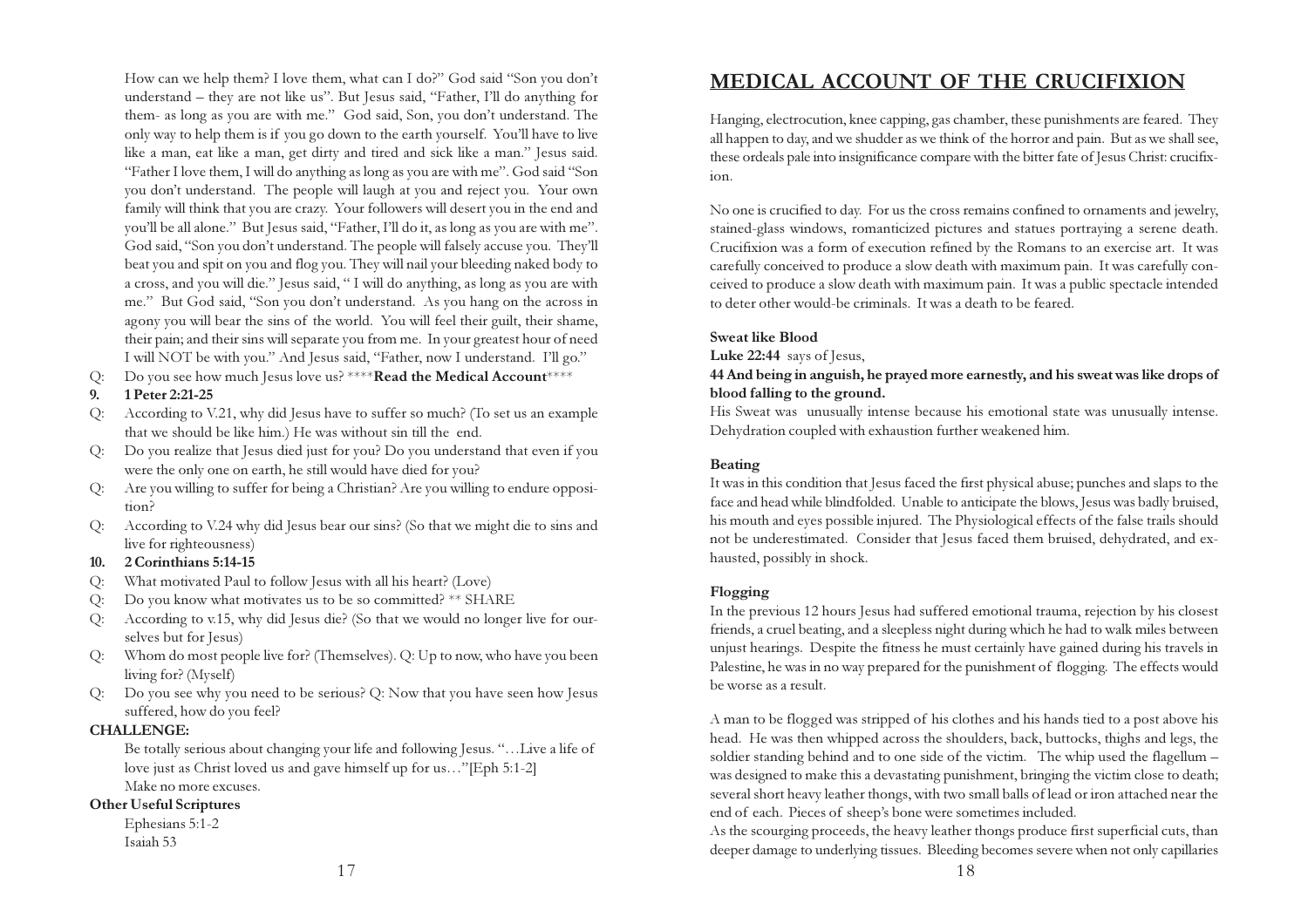How can we help them? I love them, what can I do?" God said "Son you don't understand – they are not like us". But Jesus said, "Father, I'll do anything for them- as long as you are with me." God said, Son, you don't understand. The only way to help them is if you go down to the earth yourself. You'll have to live like a man, eat like a man, get dirty and tired and sick like a man." Jesus said. "Father I love them, I will do anything as long as you are with me". God said "Son you don't understand. The people will laugh at you and reject you. Your own family will think that you are crazy. Your followers will desert you in the end and you'll be all alone." But Jesus said, "Father, I'll do it, as long as you are with me". God said, "Son you don't understand. The people will falsely accuse you. They'll beat you and spit on you and flog you. They will nail your bleeding naked body to a cross, and you will die." Jesus said, " I will do anything, as long as you are with me." But God said, "Son you don't understand. As you hang on the across in agony you will bear the sins of the world. You will feel their guilt, their shame, their pain; and their sins will separate you from me. In your greatest hour of need I will NOT be with you." And Jesus said, "Father, now I understand. I'll go."

Q: Do you see how much Jesus love us? \*\*\*\***Read the Medical Account**\*\*\*\*

#### 9. 1 Peter 2:21-25

- Q: According to V.21, why did Jesus have to suffer so much? (To set us an example that we should be like him.) He was without sin till the end.
- Q: Do you realize that Jesus died just for you? Do you understand that even if you were the only one on earth, he still would have died for you?
- Q: Are you willing to suffer for being a Christian? Are you willing to endure opposition?
- Q: According to V.24 why did Jesus bear our sins? (So that we might die to sins and live for righteousness)

#### 10. 2 Corinthians 5:14-15

- Q: What motivated Paul to follow Jesus with all his heart? (Love)
- Q: Do you know what motivates us to be so committed? \*\* SHARE
- Q: According to v.15, why did Jesus die? (So that we would no longer live for ourselves but for Jesus)
- Q: Whom do most people live for? (Themselves). Q: Up to now, who have you been living for? (Myself)
- Do you see why you need to be serious? Q: Now that you have seen how Jesus suffered, how do you feel?

#### CHALLENGE:

Be totally serious about changing your life and following Jesus. "…Live a life of love just as Christ loved us and gave himself up for us…"[Eph 5:1-2] Make no more excuses.

#### Other Useful Scriptures

Ephesians 5:1-2 Isaiah 53

## MEDICAL ACCOUNT OF THE CRUCIFIXION

Hanging, electrocution, knee capping, gas chamber, these punishments are feared. They all happen to day, and we shudder as we think of the horror and pain. But as we shall see, these ordeals pale into insignificance compare with the bitter fate of Jesus Christ: crucifixion.

No one is crucified to day. For us the cross remains confined to ornaments and jewelry, stained-glass windows, romanticized pictures and statues portraying a serene death. Crucifixion was a form of execution refined by the Romans to an exercise art. It was carefully conceived to produce a slow death with maximum pain. It was carefully conceived to produce a slow death with maximum pain. It was a public spectacle intended to deter other would-be criminals. It was a death to be feared.

#### Sweat like Blood

Luke 22:44 says of Jesus,

#### 44 And being in anguish, he prayed more earnestly, and his sweat was like drops of blood falling to the ground.

His Sweat was unusually intense because his emotional state was unusually intense. Dehydration coupled with exhaustion further weakened him.

#### Beating

It was in this condition that Jesus faced the first physical abuse; punches and slaps to the face and head while blindfolded. Unable to anticipate the blows, Jesus was badly bruised, his mouth and eyes possible injured. The Physiological effects of the false trails should not be underestimated. Consider that Jesus faced them bruised, dehydrated, and exhausted, possibly in shock.

#### Flogging

In the previous 12 hours Jesus had suffered emotional trauma, rejection by his closest friends, a cruel beating, and a sleepless night during which he had to walk miles between unjust hearings. Despite the fitness he must certainly have gained during his travels in Palestine, he was in no way prepared for the punishment of flogging. The effects would be worse as a result.

A man to be flogged was stripped of his clothes and his hands tied to a post above his head. He was then whipped across the shoulders, back, buttocks, thighs and legs, the soldier standing behind and to one side of the victim. The whip used the flagellum – was designed to make this a devastating punishment, bringing the victim close to death; several short heavy leather thongs, with two small balls of lead or iron attached near the end of each. Pieces of sheep's bone were sometimes included.

As the scourging proceeds, the heavy leather thongs produce first superficial cuts, than deeper damage to underlying tissues. Bleeding becomes severe when not only capillaries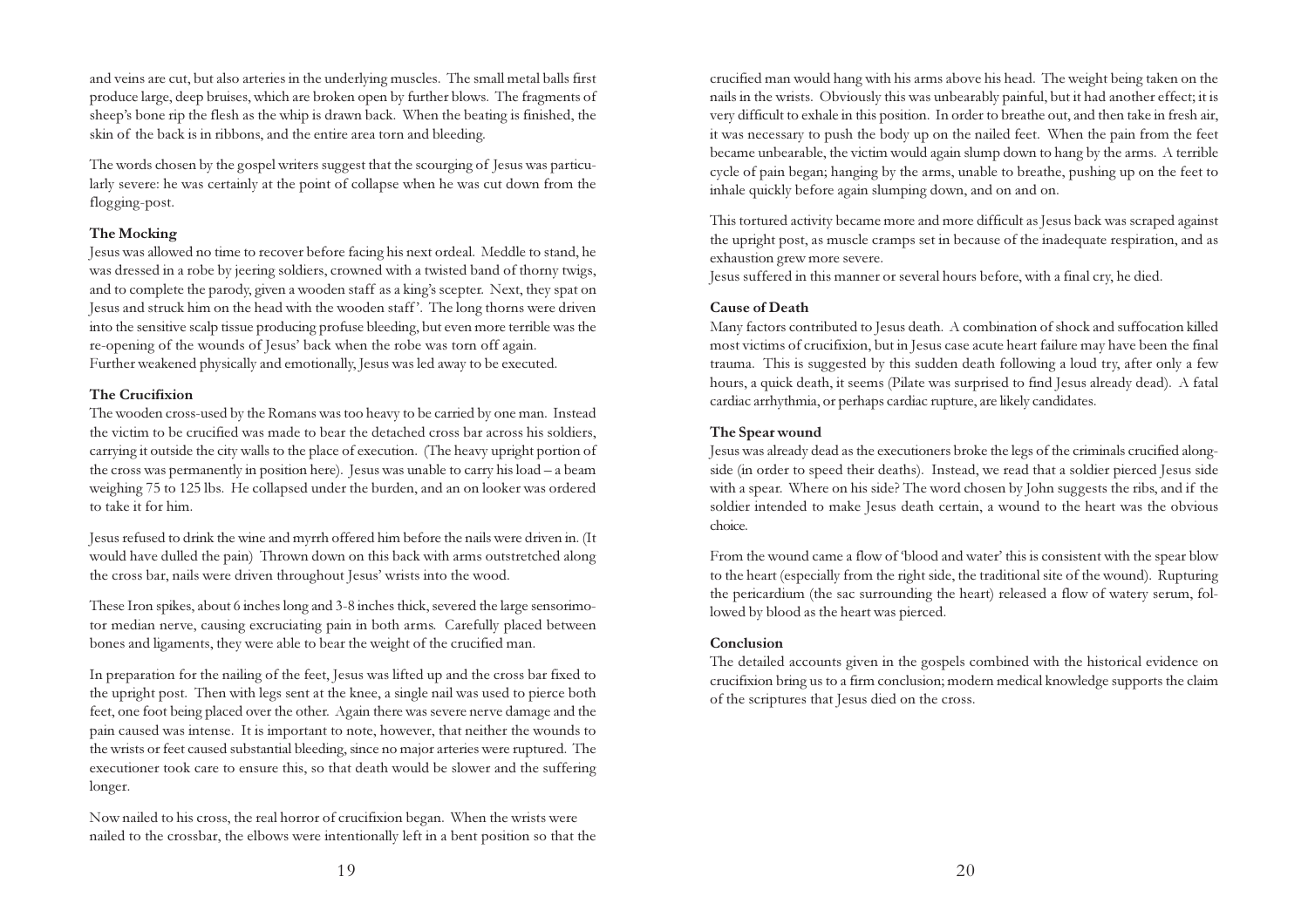and veins are cut, but also arteries in the underlying muscles. The small metal balls first produce large, deep bruises, which are broken open by further blows. The fragments of sheep's bone rip the flesh as the whip is drawn back. When the beating is finished, the skin of the back is in ribbons, and the entire area torn and bleeding.

The words chosen by the gospel writers suggest that the scourging of Jesus was particularly severe: he was certainly at the point of collapse when he was cut down from the flogging-post.

#### The Mocking

Jesus was allowed no time to recover before facing his next ordeal. Meddle to stand, he was dressed in a robe by jeering soldiers, crowned with a twisted band of thorny twigs, and to complete the parody, given a wooden staff as a king's scepter. Next, they spat on Jesus and struck him on the head with the wooden staff '. The long thorns were driven into the sensitive scalp tissue producing profuse bleeding, but even more terrible was the re-opening of the wounds of Jesus' back when the robe was torn off again. Further weakened physically and emotionally, Jesus was led away to be executed.

#### The Crucifixion

The wooden cross-used by the Romans was too heavy to be carried by one man. Instead the victim to be crucified was made to bear the detached cross bar across his soldiers, carrying it outside the city walls to the place of execution. (The heavy upright portion of the cross was permanently in position here). Jesus was unable to carry his load – a beam weighing 75 to 125 lbs. He collapsed under the burden, and an on looker was ordered to take it for him.

Jesus refused to drink the wine and myrrh offered him before the nails were driven in. (It would have dulled the pain) Thrown down on this back with arms outstretched along the cross bar, nails were driven throughout Jesus' wrists into the wood.

These Iron spikes, about 6 inches long and 3-8 inches thick, severed the large sensorimotor median nerve, causing excruciating pain in both arms. Carefully placed between bones and ligaments, they were able to bear the weight of the crucified man.

In preparation for the nailing of the feet, Jesus was lifted up and the cross bar fixed to the upright post. Then with legs sent at the knee, a single nail was used to pierce both feet, one foot being placed over the other. Again there was severe nerve damage and the pain caused was intense. It is important to note, however, that neither the wounds to the wrists or feet caused substantial bleeding, since no major arteries were ruptured. The executioner took care to ensure this, so that death would be slower and the suffering longer.

Now nailed to his cross, the real horror of crucifixion began. When the wrists were nailed to the crossbar, the elbows were intentionally left in a bent position so that the crucified man would hang with his arms above his head. The weight being taken on the nails in the wrists. Obviously this was unbearably painful, but it had another effect; it is very difficult to exhale in this position. In order to breathe out, and then take in fresh air, it was necessary to push the body up on the nailed feet. When the pain from the feet became unbearable, the victim would again slump down to hang by the arms. A terrible cycle of pain began; hanging by the arms, unable to breathe, pushing up on the feet to inhale quickly before again slumping down, and on and on.

This tortured activity became more and more difficult as Jesus back was scraped against the upright post, as muscle cramps set in because of the inadequate respiration, and as exhaustion grew more severe.

Jesus suffered in this manner or several hours before, with a final cry, he died.

#### Cause of Death

Many factors contributed to Jesus death. A combination of shock and suffocation killed most victims of crucifixion, but in Jesus case acute heart failure may have been the final trauma. This is suggested by this sudden death following a loud try, after only a few hours, a quick death, it seems (Pilate was surprised to find Jesus already dead). A fatal cardiac arrhythmia, or perhaps cardiac rupture, are likely candidates.

#### The Spear wound

Jesus was already dead as the executioners broke the legs of the criminals crucified alongside (in order to speed their deaths). Instead, we read that a soldier pierced Jesus side with a spear. Where on his side? The word chosen by John suggests the ribs, and if the soldier intended to make Jesus death certain, a wound to the heart was the obvious choice.

From the wound came a flow of 'blood and water' this is consistent with the spear blow to the heart (especially from the right side, the traditional site of the wound). Rupturing the pericardium (the sac surrounding the heart) released a flow of watery serum, followed by blood as the heart was pierced.

#### Conclusion

The detailed accounts given in the gospels combined with the historical evidence on crucifixion bring us to a firm conclusion; modern medical knowledge supports the claim of the scriptures that Jesus died on the cross.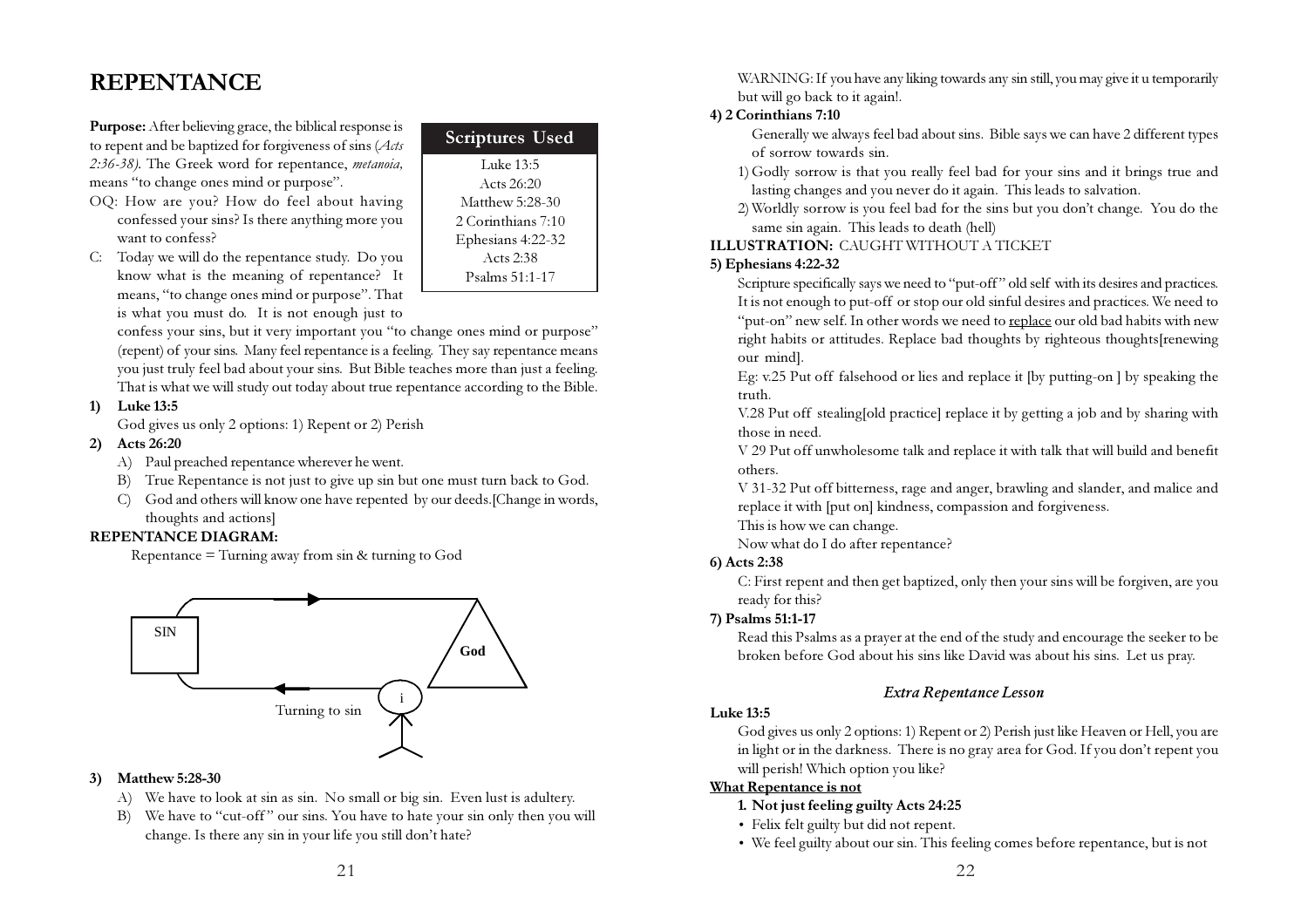## REPENTANCE

Purpose: After believing grace, the biblical response is to repent and be baptized for forgiveness of sins (Acts 2:36-38). The Greek word for repentance, metanoia, means "to change ones mind or purpose".

- OQ: How are you? How do feel about having confessed your sins? Is there anything more you want to confess?
- C: Today we will do the repentance study. Do you know what is the meaning of repentance? It means, "to change ones mind or purpose". That is what you must do. It is not enough just to

confess your sins, but it very important you "to change ones mind or purpose" (repent) of your sins. Many feel repentance is a feeling. They say repentance means you just truly feel bad about your sins. But Bible teaches more than just a feeling. That is what we will study out today about true repentance according to the Bible.

Luke 13:5 Acts 26:20 Matthew 5:28-30 2 Corinthians 7:10 Ephesians 4:22-32 Acts 2:38 Psalms 51:1-17

Scriptures Used

#### 1) Luke 13:5

God gives us only 2 options: 1) Repent or 2) Perish

#### 2) Acts 26:20

- A) Paul preached repentance wherever he went.
- B) True Repentance is not just to give up sin but one must turn back to God.
- C) God and others will know one have repented by our deeds.[Change in words, thoughts and actions]

#### REPENTANCE DIAGRAM:

Repentance = Turning away from sin & turning to God



#### 3) Matthew 5:28-30

- A) We have to look at sin as sin. No small or big sin. Even lust is adultery.
- B) We have to "cut-off" our sins. You have to hate your sin only then you will change. Is there any sin in your life you still don't hate?

WARNING: If you have any liking towards any sin still, you may give it u temporarily but will go back to it again!.

#### 4) 2 Corinthians 7:10

Generally we always feel bad about sins. Bible says we can have 2 different types of sorrow towards sin.

- 1) Godly sorrow is that you really feel bad for your sins and it brings true and lasting changes and you never do it again. This leads to salvation.
- 2) Worldly sorrow is you feel bad for the sins but you don't change. You do the same sin again. This leads to death (hell)

#### ILLUSTRATION: CAUGHT WITHOUT A TICKET

#### 5) Ephesians 4:22-32

Scripture specifically says we need to "put-off " old self with its desires and practices. It is not enough to put-off or stop our old sinful desires and practices. We need to "put-on" new self. In other words we need to replace our old bad habits with new right habits or attitudes. Replace bad thoughts by righteous thoughts[renewing our mind].

Eg: v.25 Put off falsehood or lies and replace it [by putting-on ] by speaking the truth.

V.28 Put off stealing[old practice] replace it by getting a job and by sharing with those in need.

V 29 Put off unwholesome talk and replace it with talk that will build and benefit others.

V 31-32 Put off bitterness, rage and anger, brawling and slander, and malice and replace it with [put on] kindness, compassion and forgiveness.

This is how we can change.

Now what do I do after repentance?

#### 6) Acts 2:38

C: First repent and then get baptized, only then your sins will be forgiven, are you ready for this?

#### 7) Psalms 51:1-17

Read this Psalms as a prayer at the end of the study and encourage the seeker to be broken before God about his sins like David was about his sins. Let us pray.

#### Extra Repentance Lesson

#### Luke 13:5

God gives us only 2 options: 1) Repent or 2) Perish just like Heaven or Hell, you are in light or in the darkness. There is no gray area for God. If you don't repent you will perish! Which option you like?

#### What Repentance is not

- 1. Not just feeling guilty Acts 24:25
- Felix felt guilty but did not repent.
- We feel guilty about our sin. This feeling comes before repentance, but is not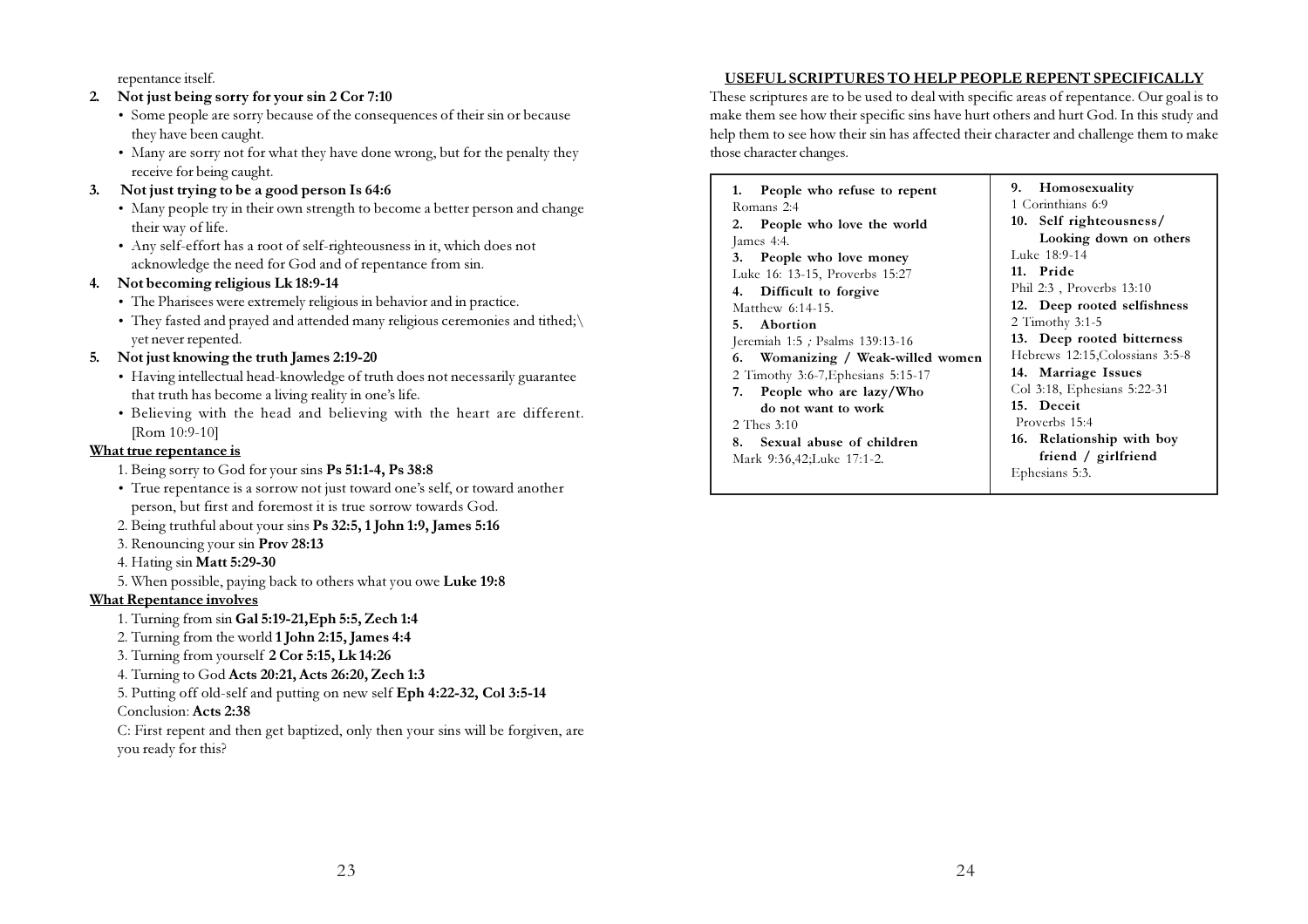repentance itself.

#### 2. Not just being sorry for your sin 2 Cor 7:10

- Some people are sorry because of the consequences of their sin or because they have been caught.
- Many are sorry not for what they have done wrong, but for the penalty they receive for being caught.

#### 3. Not just trying to be a good person Is 64:6

- Many people try in their own strength to become a better person and change their way of life.
- Any self-effort has a root of self-righteousness in it, which does not acknowledge the need for God and of repentance from sin.

#### 4. Not becoming religious Lk 18:9-14

- The Pharisees were extremely religious in behavior and in practice.
- They fasted and prayed and attended many religious ceremonies and tithed;\ yet never repented.

#### 5. Not just knowing the truth James 2:19-20

- Having intellectual head-knowledge of truth does not necessarily guarantee that truth has become a living reality in one's life.
- Believing with the head and believing with the heart are different. [Rom 10:9-10]

#### What true repentance is

- 1. Being sorry to God for your sins Ps 51:1-4, Ps 38:8
- True repentance is a sorrow not just toward one's self, or toward another person, but first and foremost it is true sorrow towards God.
- 2. Being truthful about your sins Ps 32:5, 1 John 1:9, James 5:16
- 3. Renouncing your sin Prov 28:13
- 4. Hating sin Matt 5:29-30
- 5. When possible, paying back to others what you owe Luke 19:8

#### What Repentance involves

- 1. Turning from sin Gal 5:19-21,Eph 5:5, Zech 1:4
- 2. Turning from the world 1 John 2:15, James 4:4
- 3. Turning from yourself 2 Cor 5:15, Lk 14:26
- 4. Turning to God Acts 20:21, Acts 26:20, Zech 1:3
- 5. Putting off old-self and putting on new self Eph 4:22-32, Col 3:5-14

#### Conclusion: Acts 2:38

C: First repent and then get baptized, only then your sins will be forgiven, are you ready for this?

#### USEFUL SCRIPTURES TO HELP PEOPLE REPENT SPECIFICALLY

These scriptures are to be used to deal with specific areas of repentance. Our goal is to make them see how their specific sins have hurt others and hurt God. In this study and help them to see how their sin has affected their character and challenge them to make those character changes.

9. Homosexuality 1 Corinthians 6:9 10. Self righteousness/ Looking down on others Luke 18:9-14 11. Pride Phil 2:3 , Proverbs 13:10 12. Deep rooted selfishness 2 Timothy 3:1-5 13. Deep rooted bitterness Hebrews 12:15,Colossians 3:5-8 14. Marriage Issues Col 3:18, Ephesians 5:22-31 15. Deceit Proverbs 15:4 16. Relationship with boy friend / girlfriend Ephesians 5:3. 1. People who refuse to repent Romans 2:4 2. People who love the world James 4:4. 3. People who love money Luke 16: 13-15, Proverbs 15:27 4. Difficult to forgive Matthew 6:14-15. 5. Abortion Jeremiah 1:5 ; Psalms 139:13-16 6. Womanizing / Weak-willed women 2 Timothy 3:6-7,Ephesians 5:15-17 7. People who are lazy/Who do not want to work 2 Thes 3:10 8. Sexual abuse of children Mark 9:36,42;Luke 17:1-2.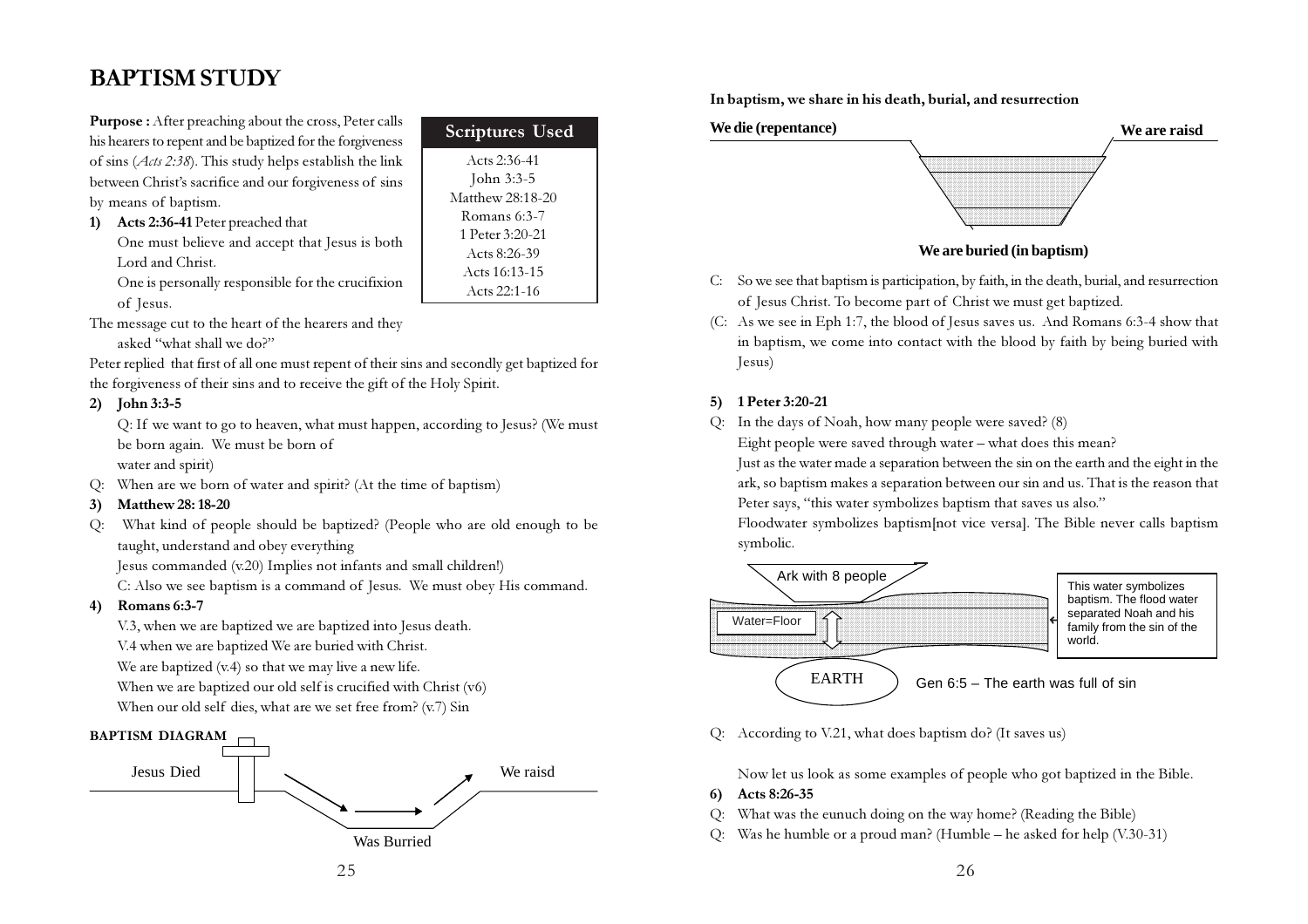## BAPTISM STUDY

Purpose : After preaching about the cross, Peter calls his hearers to repent and be baptized for the forgiveness of sins  $(Ats 2:38)$ . This study helps establish the link between Christ's sacrifice and our forgiveness of sins by means of baptism.

| 1) | <b>Acts 2:36-41</b> Peter preached that        |
|----|------------------------------------------------|
|    | One must believe and accept that Jesus is both |

Lord and Christ. One is personally responsible for the crucifixion

of Jesus.

The message cut to the heart of the hearers and they

asked "what shall we do?"

Peter replied that first of all one must repent of their sins and secondly get baptized for the forgiveness of their sins and to receive the gift of the Holy Spirit.

#### 2) John 3:3-5

Q: If we want to go to heaven, what must happen, according to Jesus? (We must be born again. We must be born of water and spirit)

Acts 2:36-41 John 3:3-5 Matthew 28:18-20 Romans 6:3-7 1 Peter 3:20-21 Acts 8:26-39 Acts 16:13-15 Acts 22:1-16

Scriptures Used

Q: When are we born of water and spirit? (At the time of baptism)

#### 3) Matthew 28: 18-20

Q: What kind of people should be baptized? (People who are old enough to be taught, understand and obey everything

Jesus commanded (v.20) Implies not infants and small children!)

C: Also we see baptism is a command of Jesus. We must obey His command.

#### 4) Romans 6:3-7

V.3, when we are baptized we are baptized into Jesus death.

V.4 when we are baptized We are buried with Christ.

We are baptized  $(v.4)$  so that we may live a new life.

When we are baptized our old self is crucified with Christ (v6)

When our old self dies, what are we set free from? (v.7) Sin





In baptism, we share in his death, burial, and resurrection



#### C: So we see that baptism is participation, by faith, in the death, burial, and resurrection of Jesus Christ. To become part of Christ we must get baptized.

(C: As we see in Eph 1:7, the blood of Jesus saves us. And Romans 6:3-4 show that in baptism, we come into contact with the blood by faith by being buried with Jesus)

#### 5) 1 Peter 3:20-21

Q: In the days of Noah, how many people were saved? (8)

Eight people were saved through water – what does this mean?

Just as the water made a separation between the sin on the earth and the eight in the ark, so baptism makes a separation between our sin and us. That is the reason that Peter says, "this water symbolizes baptism that saves us also."

Floodwater symbolizes baptism[not vice versa]. The Bible never calls baptism symbolic.



Q: According to V.21, what does baptism do? (It saves us)

Now let us look as some examples of people who got baptized in the Bible.

- 6) Acts 8:26-35
- Q: What was the eunuch doing on the way home? (Reading the Bible)
- Q: Was he humble or a proud man? (Humble he asked for help (V.30-31)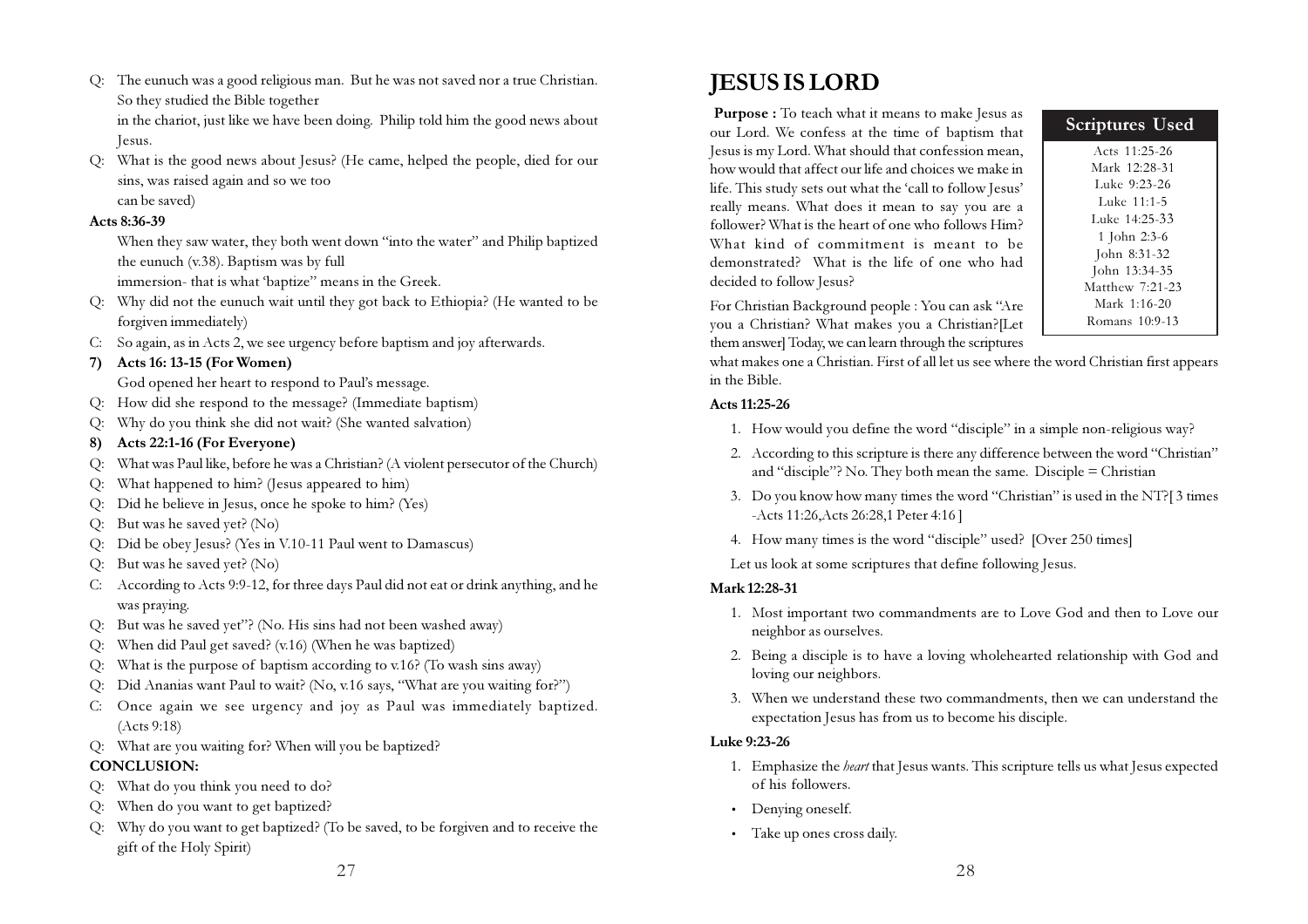Q: The eunuch was a good religious man. But he was not saved nor a true Christian. So they studied the Bible together in the chariot, just like we have been doing. Philip told him the good news about Jesus.

Q: What is the good news about Jesus? (He came, helped the people, died for our sins, was raised again and so we too

can be saved)

#### Acts 8:36-39

When they saw water, they both went down "into the water" and Philip baptized the eunuch (v.38). Baptism was by full

immersion- that is what 'baptize" means in the Greek.

- Q: Why did not the eunuch wait until they got back to Ethiopia? (He wanted to be forgiven immediately)
- C: So again, as in Acts 2, we see urgency before baptism and joy afterwards.

#### 7) Acts 16: 13-15 (For Women)

God opened her heart to respond to Paul's message.

- Q: How did she respond to the message? (Immediate baptism)
- Q: Why do you think she did not wait? (She wanted salvation)

#### 8) Acts 22:1-16 (For Everyone)

- Q: What was Paul like, before he was a Christian? (A violent persecutor of the Church)
- Q: What happened to him? (Jesus appeared to him)
- Q: Did he believe in Jesus, once he spoke to him? (Yes)
- Q: But was he saved yet? (No)
- Q: Did be obey Jesus? (Yes in V.10-11 Paul went to Damascus)
- Q: But was he saved yet? (No)
- C: According to Acts 9:9-12, for three days Paul did not eat or drink anything, and he was praying.
- Q: But was he saved yet"? (No. His sins had not been washed away)
- Q: When did Paul get saved? (v.16) (When he was baptized)
- Q: What is the purpose of baptism according to v.16? (To wash sins away)
- Q: Did Ananias want Paul to wait? (No, v.16 says, "What are you waiting for?")
- C: Once again we see urgency and joy as Paul was immediately baptized. (Acts 9:18)
- Q: What are you waiting for? When will you be baptized?

## CONCLUSION:

- Q: What do you think you need to do?
- Q: When do you want to get baptized?
- Q: Why do you want to get baptized? (To be saved, to be forgiven and to receive the gift of the Holy Spirit)

## JESUS IS LORD

Purpose : To teach what it means to make Jesus as our Lord. We confess at the time of baptism that Jesus is my Lord. What should that confession mean, how would that affect our life and choices we make in life. This study sets out what the 'call to follow Jesus' really means. What does it mean to say you are a follower? What is the heart of one who follows Him? What kind of commitment is meant to be demonstrated? What is the life of one who had decided to follow Jesus?

Scriptures Used

Acts 11:25-26 Mark 12:28-31 Luke 9:23-26 Luke 11:1-5 Luke 14:25-33 1 John 2:3-6 John 8:31-32 John 13:34-35 Matthew 7:21-23 Mark 1:16-20 Romans 10:9-13

For Christian Background people : You can ask "Are you a Christian? What makes you a Christian?[Let them answer] Today, we can learn through the scriptures

what makes one a Christian. First of all let us see where the word Christian first appears in the Bible.

#### Acts 11:25-26

- 1. How would you define the word "disciple" in a simple non-religious way?
- 2. According to this scripture is there any difference between the word "Christian" and "disciple"? No. They both mean the same. Disciple = Christian
- 3. Do you know how many times the word "Christian" is used in the NT?[ 3 times -Acts 11:26,Acts 26:28,1 Peter 4:16 ]
- 4. How many times is the word "disciple" used? [Over 250 times]

Let us look at some scriptures that define following Jesus.

## Mark 12:28-31

- 1. Most important two commandments are to Love God and then to Love our neighbor as ourselves.
- 2. Being a disciple is to have a loving wholehearted relationship with God and loving our neighbors.
- 3. When we understand these two commandments, then we can understand the expectation Jesus has from us to become his disciple.

#### Luke 9:23-26

- 1. Emphasize the heart that Jesus wants. This scripture tells us what Jesus expected of his followers.
- Denying oneself.
- Take up ones cross daily.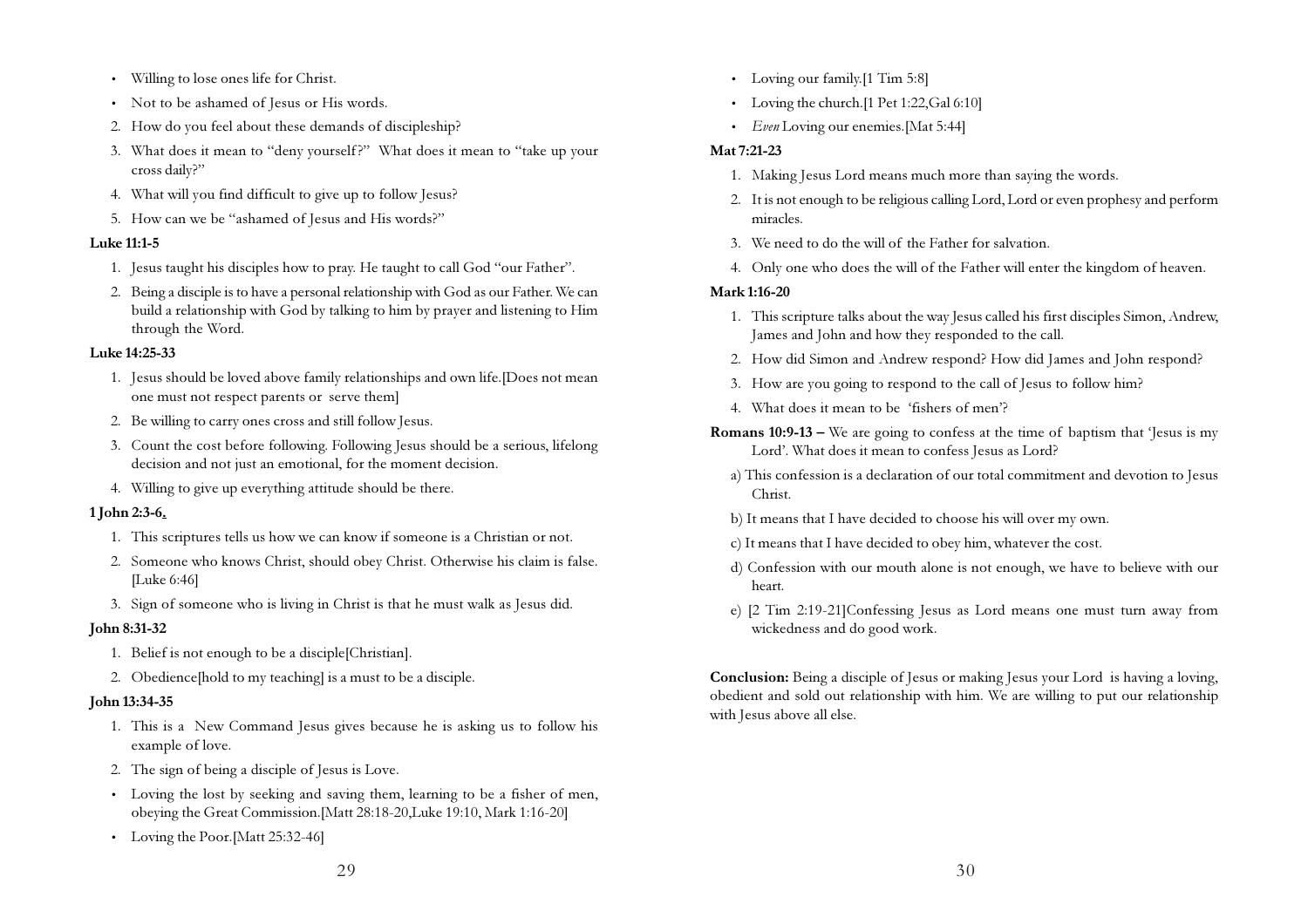- Willing to lose ones life for Christ.
- Not to be ashamed of Jesus or His words.
- 2. How do you feel about these demands of discipleship?
- 3. What does it mean to "deny yourself?" What does it mean to "take up your cross daily?"
- 4. What will you find difficult to give up to follow Jesus?
- 5. How can we be "ashamed of Jesus and His words?"

#### Luke 11:1-5

- 1. Jesus taught his disciples how to pray. He taught to call God "our Father".
- 2. Being a disciple is to have a personal relationship with God as our Father. We can build a relationship with God by talking to him by prayer and listening to Him through the Word.

#### Luke 14:25-33

- 1. Jesus should be loved above family relationships and own life.[Does not mean one must not respect parents or serve them]
- 2. Be willing to carry ones cross and still follow Jesus.
- 3. Count the cost before following. Following Jesus should be a serious, lifelong decision and not just an emotional, for the moment decision.
- 4. Willing to give up everything attitude should be there.

#### 1 John 2:3-6.

- 1. This scriptures tells us how we can know if someone is a Christian or not.
- 2. Someone who knows Christ, should obey Christ. Otherwise his claim is false. [Luke 6:46]
- 3. Sign of someone who is living in Christ is that he must walk as Jesus did.

#### John 8:31-32

- 1. Belief is not enough to be a disciple[Christian].
- 2. Obedience[hold to my teaching] is a must to be a disciple.

#### John 13:34-35

- 1. This is a New Command Jesus gives because he is asking us to follow his example of love.
- 2. The sign of being a disciple of Jesus is Love.
- Loving the lost by seeking and saving them, learning to be a fisher of men, obeying the Great Commission.[Matt 28:18-20,Luke 19:10, Mark 1:16-20]
- Loving the Poor.[Matt 25:32-46]
- Loving our family.<sup>[1 Tim 5:8]</sup>
- Loving the church.<sup>[1 Pet 1:22, Gal 6:10]</sup>
- $\bullet$  *Even* Loving our enemies. [Mat 5:44]

#### Mat 7:21-23

- 1. Making Jesus Lord means much more than saying the words.
- 2. It is not enough to be religious calling Lord, Lord or even prophesy and perform miracles.
- 3. We need to do the will of the Father for salvation.
- 4. Only one who does the will of the Father will enter the kingdom of heaven.

#### Mark 1:16-20

- 1. This scripture talks about the way Jesus called his first disciples Simon, Andrew, James and John and how they responded to the call.
- 2. How did Simon and Andrew respond? How did James and John respond?
- 3. How are you going to respond to the call of Jesus to follow him?
- 4. What does it mean to be 'fishers of men'?
- **Romans 10:9-13 –** We are going to confess at the time of baptism that 'Jesus is my Lord'. What does it mean to confess Jesus as Lord?
	- a) This confession is a declaration of our total commitment and devotion to Jesus Christ.
	- b) It means that I have decided to choose his will over my own.
	- c) It means that I have decided to obey him, whatever the cost.
	- d) Confession with our mouth alone is not enough, we have to believe with our heart.
	- e) [2 Tim 2:19-21]Confessing Jesus as Lord means one must turn away from wickedness and do good work.

Conclusion: Being a disciple of Jesus or making Jesus your Lord is having a loving, obedient and sold out relationship with him. We are willing to put our relationship with Jesus above all else.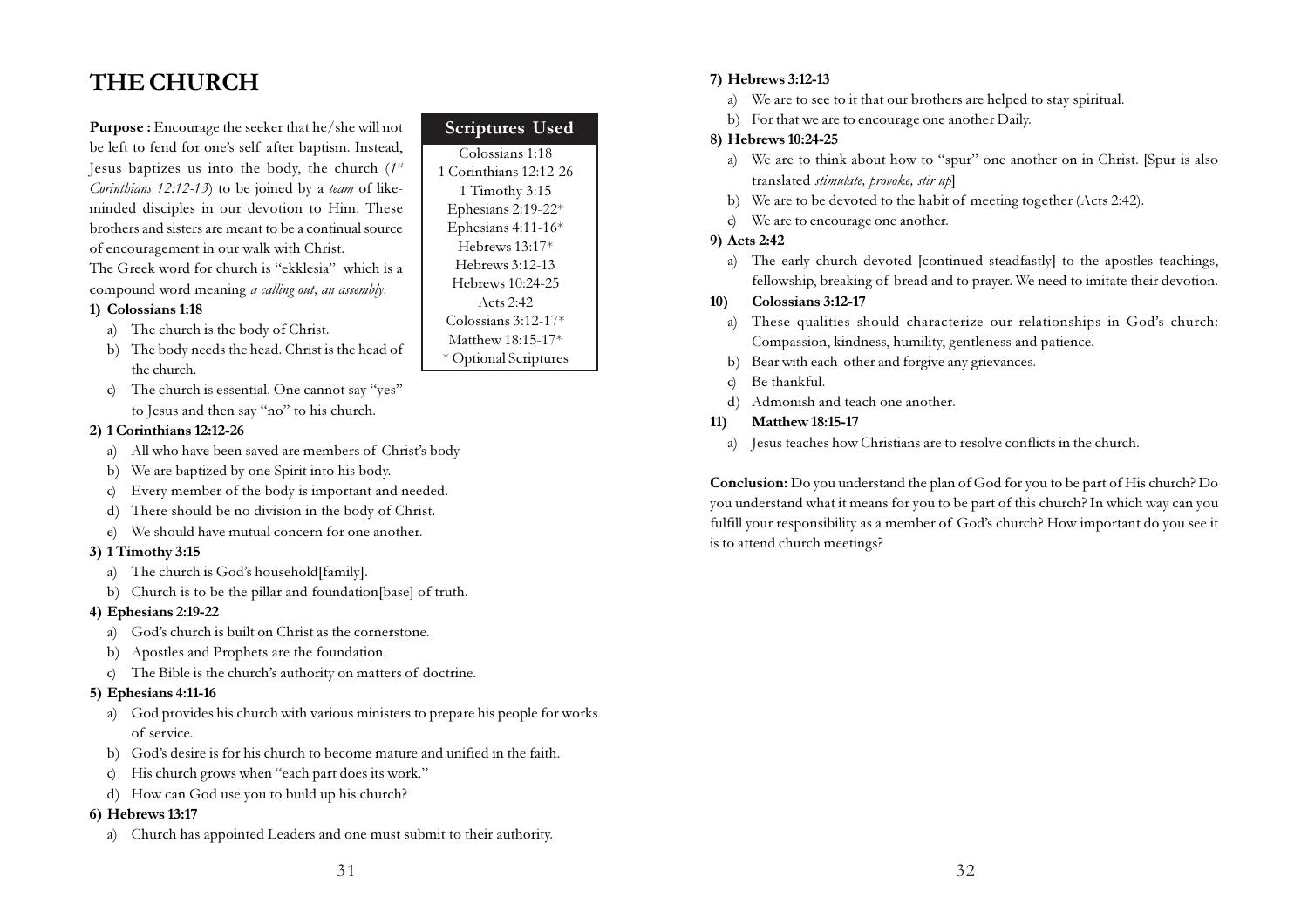## THE CHURCH

Purpose : Encourage the seeker that he/she will not be left to fend for one's self after baptism. Instead, Jesus baptizes us into the body, the church  $(1^{st}$ Corinthians  $12:12-13$ ) to be joined by a team of likeminded disciples in our devotion to Him. These brothers and sisters are meant to be a continual source of encouragement in our walk with Christ.

The Greek word for church is "ekklesia" which is a compound word meaning a calling out, an assembly.

#### 1) Colossians 1:18

- a) The church is the body of Christ.
- b) The body needs the head. Christ is the head of the church.
- c) The church is essential. One cannot say "yes" to Jesus and then say "no" to his church.

#### 2) 1 Corinthians 12:12-26

- a) All who have been saved are members of Christ's body
- b) We are baptized by one Spirit into his body.
- c) Every member of the body is important and needed.
- d) There should be no division in the body of Christ.
- e) We should have mutual concern for one another.

#### 3) 1 Timothy 3:15

- a) The church is God's household[family].
- b) Church is to be the pillar and foundation[base] of truth.

#### 4) Ephesians 2:19-22

- a) God's church is built on Christ as the cornerstone.
- b) Apostles and Prophets are the foundation.
- c) The Bible is the church's authority on matters of doctrine.

#### 5) Ephesians 4:11-16

- a) God provides his church with various ministers to prepare his people for works of service.
- b) God's desire is for his church to become mature and unified in the faith.
- c) His church grows when "each part does its work."
- d) How can God use you to build up his church?

#### 6) Hebrews 13:17

a) Church has appointed Leaders and one must submit to their authority.

| <b>Scriptures Used</b> |
|------------------------|
| Colossians 1:18        |
| 1 Corinthians 12:12-26 |
| 1 Timothy 3:15         |
| Ephesians 2:19-22*     |
| Ephesians 4:11-16*     |
| Hebrews 13:17*         |
| Hebrews 3:12-13        |
| Hebrews 10:24-25       |
| Acts $2:42$            |
| Colossians 3:12-17*    |
| Matthew 18:15-17*      |
| * Optional Scriptures  |

#### 7) Hebrews 3:12-13

- a) We are to see to it that our brothers are helped to stay spiritual.
- b) For that we are to encourage one another Daily.

#### 8) Hebrews 10:24-25

- a) We are to think about how to "spur" one another on in Christ. [Spur is also translated stimulate, provoke, stir up]
- b) We are to be devoted to the habit of meeting together (Acts 2:42).
- c) We are to encourage one another.

#### 9) Acts 2:42

a) The early church devoted [continued steadfastly] to the apostles teachings, fellowship, breaking of bread and to prayer. We need to imitate their devotion.

#### 10) Colossians 3:12-17

- a) These qualities should characterize our relationships in God's church: Compassion, kindness, humility, gentleness and patience.
- b) Bear with each other and forgive any grievances.
- c) Be thankful.
- d) Admonish and teach one another.

#### 11) Matthew 18:15-17

a) Jesus teaches how Christians are to resolve conflicts in the church.

Conclusion: Do you understand the plan of God for you to be part of His church? Do you understand what it means for you to be part of this church? In which way can you fulfill your responsibility as a member of God's church? How important do you see it is to attend church meetings?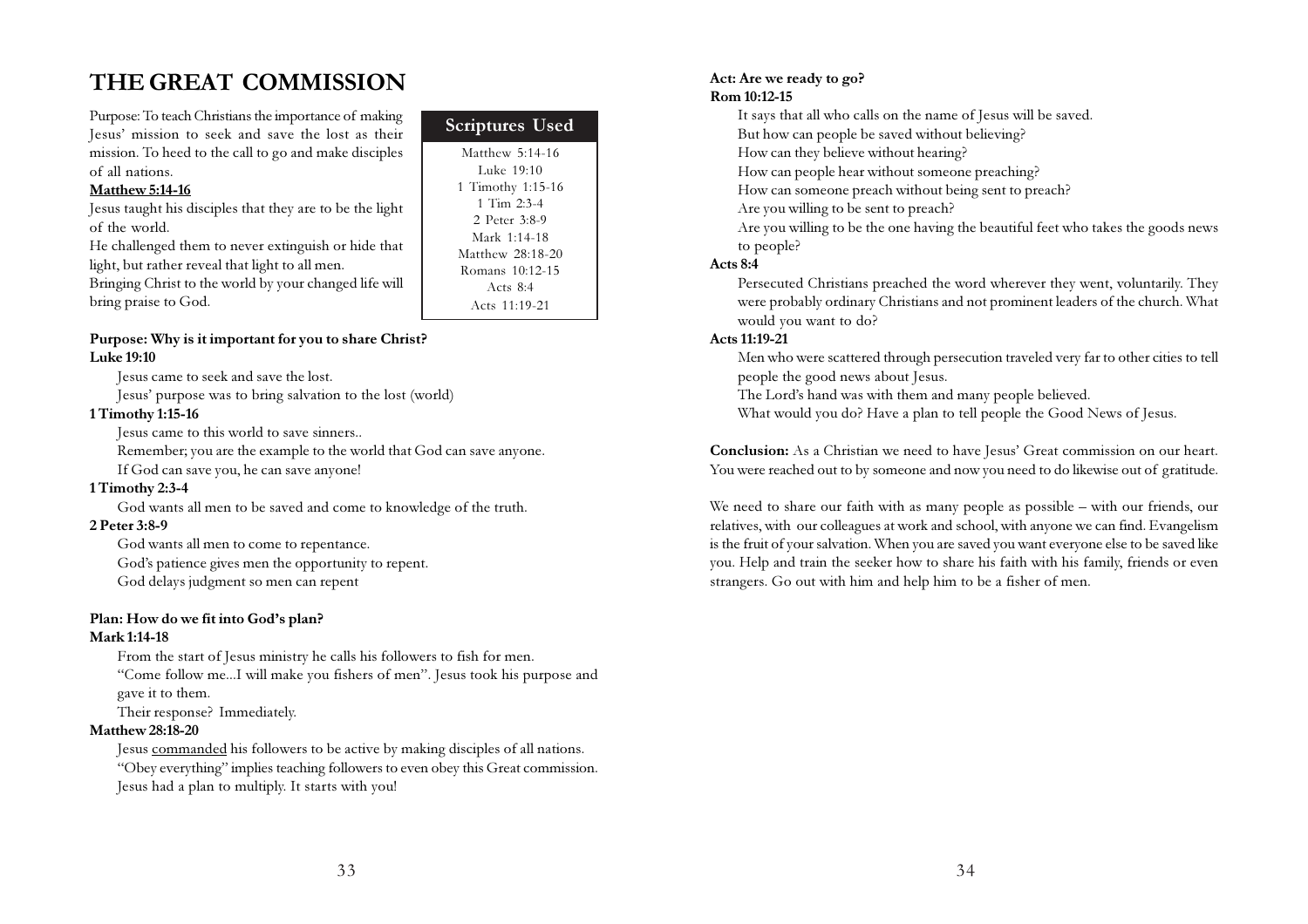## THE GREAT COMMISSION

Purpose: To teach Christians the importance of making Jesus' mission to seek and save the lost as their mission. To heed to the call to go and make disciples of all nations.

#### Matthew 5:14-16

Jesus taught his disciples that they are to be the light of the world.

He challenged them to never extinguish or hide that light, but rather reveal that light to all men.

Bringing Christ to the world by your changed life will bring praise to God.

#### Purpose: Why is it important for you to share Christ? Luke 19:10

Jesus came to seek and save the lost.

Jesus' purpose was to bring salvation to the lost (world)

#### 1 Timothy 1:15-16

Jesus came to this world to save sinners..

Remember; you are the example to the world that God can save anyone. If God can save you, he can save anyone!

#### 1 Timothy 2:3-4

God wants all men to be saved and come to knowledge of the truth.

#### 2 Peter 3:8-9

God wants all men to come to repentance.

God's patience gives men the opportunity to repent.

God delays judgment so men can repent

#### Plan: How do we fit into God's plan?

#### Mark 1:14-18

From the start of Jesus ministry he calls his followers to fish for men. "Come follow me...I will make you fishers of men". Jesus took his purpose and gave it to them.

Their response? Immediately.

#### Matthew 28:18-20

Jesus commanded his followers to be active by making disciples of all nations. "Obey everything" implies teaching followers to even obey this Great commission. Jesus had a plan to multiply. It starts with you!

| <b>Scriptures Used</b> |
|------------------------|
| Matthew 5:14-16        |
| Luke 19:10             |
| 1 Timothy 1:15-16      |
| 1 Tim $2:3-4$          |
| 2 Peter 3:8-9          |
| Mark 1:14-18           |
| Matthew 28:18-20       |
| Romans 10:12-15        |
| Acts $8:4$             |
| Acts 11:19-21          |
|                        |

#### Act: Are we ready to go? Rom 10:12-15

It says that all who calls on the name of Jesus will be saved.

But how can people be saved without believing?

How can they believe without hearing?

How can people hear without someone preaching?

How can someone preach without being sent to preach?

Are you willing to be sent to preach?

Are you willing to be the one having the beautiful feet who takes the goods news to people?

#### Acts 8:4

Persecuted Christians preached the word wherever they went, voluntarily. They were probably ordinary Christians and not prominent leaders of the church. What would you want to do?

#### Acts 11:19-21

Men who were scattered through persecution traveled very far to other cities to tell people the good news about Jesus.

The Lord's hand was with them and many people believed.

What would you do? Have a plan to tell people the Good News of Jesus.

Conclusion: As a Christian we need to have Jesus' Great commission on our heart. You were reached out to by someone and now you need to do likewise out of gratitude.

We need to share our faith with as many people as possible – with our friends, our relatives, with our colleagues at work and school, with anyone we can find. Evangelism is the fruit of your salvation. When you are saved you want everyone else to be saved like you. Help and train the seeker how to share his faith with his family, friends or even strangers. Go out with him and help him to be a fisher of men.